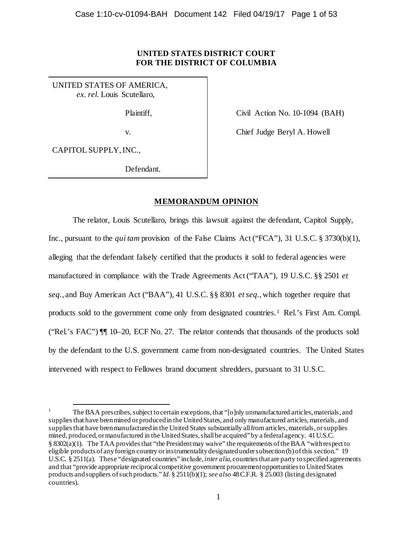# **UNITED STATES DISTRICT COURT FOR THE DISTRICT OF COLUMBIA**

UNITED STATES OF AMERICA,  *ex. rel.* Louis Scutellaro,

Plaintiff,

v.

Civil Action No. 10-1094 (BAH)

Chief Judge Beryl A. Howell

CAPITOL SUPPLY, INC.,

Defendant.

# **MEMORANDUM OPINION**

The relator, Louis Scutellaro, brings this lawsuit against the defendant, Capitol Supply, Inc., pursuant to the *qui tam* provision of the False Claims Act ("FCA"), 31 U.S.C. § 3730(b)(1), alleging that the defendant falsely certified that the products it sold to federal agencies were manufactured in compliance with the Trade Agreements Act ("TAA"), 19 U.S.C. §§ 2501 *et seq.*, and Buy American Act ("BAA"), 41 U.S.C. §§ 8301 *et seq.*, which together require that products sold to the government come only from designated countries.1 Rel.'s First Am. Compl. ("Rel.'s FAC") ¶¶ 10–20, ECF No. 27. The relator contends that thousands of the products sold by the defendant to the U.S. government came from non-designated countries. The United States intervened with respect to Fellowes brand document shredders, pursuant to 31 U.S.C.

 <sup>1</sup> The BAA prescribes, subject to certain exceptions, that "[o]nly unmanufactured articles, materials, and supplies that have been mined or produced in the United States, and only manufactured articles, materials, and supplies that have been manufactured in the United States substantially all from articles, materials, orsupplies mined, produced, or manufactured in the United States, shall be acquired" by a federal agency. 41 U.S.C. § 8302(a)(1). The TAA provides that "the President may waive" the requirements of the BAA "with respect to eligible products of any foreign country or instrumentality designated under subsection (b) of this section." 19 U.S.C. § 2511(a). These "designated countries" include, *inter alia*, countries that are party to specified agreements and that "provide appropriate reciprocal competitive government procurement opportunities to United States products and suppliers of such products." *Id.* § 2511(b)(1); *see also* 48 C.F.R. § 25.003 (listing designated countries).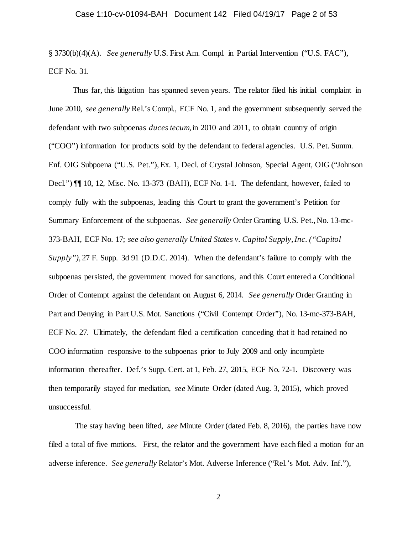§ 3730(b)(4)(A). *See generally* U.S. First Am. Compl. in Partial Intervention ("U.S. FAC"), ECF No. 31.

Thus far, this litigation has spanned seven years. The relator filed his initial complaint in June 2010, *see generally* Rel.'s Compl., ECF No. 1, and the government subsequently served the defendant with two subpoenas *duces tecum*, in 2010 and 2011, to obtain country of origin ("COO") information for products sold by the defendant to federal agencies. U.S. Pet. Summ. Enf. OIG Subpoena ("U.S. Pet."), Ex. 1, Decl. of Crystal Johnson, Special Agent, OIG ("Johnson Decl.") ¶¶ 10, 12, Misc. No. 13-373 (BAH), ECF No. 1-1. The defendant, however, failed to comply fully with the subpoenas, leading this Court to grant the government's Petition for Summary Enforcement of the subpoenas. *See generally* Order Granting U.S. Pet., No. 13-mc-373-BAH, ECF No. 17; *see also generally United States v. Capitol Supply, Inc. ("Capitol Supply")*, 27 F. Supp. 3d 91 (D.D.C. 2014). When the defendant's failure to comply with the subpoenas persisted, the government moved for sanctions, and this Court entered a Conditional Order of Contempt against the defendant on August 6, 2014. *See generally* Order Granting in Part and Denying in Part U.S. Mot. Sanctions ("Civil Contempt Order"), No. 13-mc-373-BAH, ECF No. 27. Ultimately, the defendant filed a certification conceding that it had retained no COO information responsive to the subpoenas prior to July 2009 and only incomplete information thereafter. Def.'s Supp. Cert. at 1, Feb. 27, 2015, ECF No. 72-1. Discovery was then temporarily stayed for mediation, *see* Minute Order (dated Aug. 3, 2015), which proved unsuccessful.

The stay having been lifted, *see* Minute Order (dated Feb. 8, 2016), the parties have now filed a total of five motions. First, the relator and the government have each filed a motion for an adverse inference. *See generally* Relator's Mot. Adverse Inference ("Rel.'s Mot. Adv. Inf."),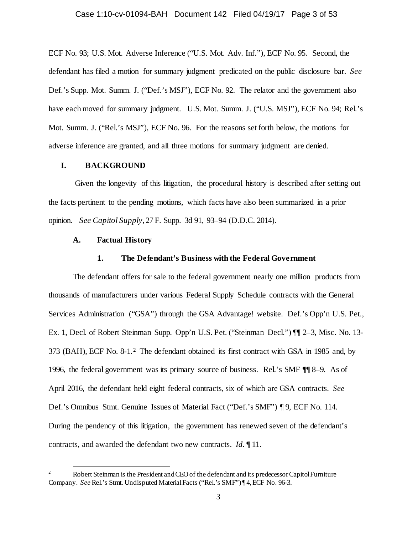### Case 1:10-cv-01094-BAH Document 142 Filed 04/19/17 Page 3 of 53

ECF No. 93; U.S. Mot. Adverse Inference ("U.S. Mot. Adv. Inf."), ECF No. 95. Second, the defendant has filed a motion for summary judgment predicated on the public disclosure bar. *See* Def.'s Supp. Mot. Summ. J. ("Def.'s MSJ"), ECF No. 92. The relator and the government also have each moved for summary judgment. U.S. Mot. Summ. J. ("U.S. MSJ"), ECF No. 94; Rel.'s Mot. Summ. J. ("Rel.'s MSJ"), ECF No. 96. For the reasons set forth below, the motions for adverse inference are granted, and all three motions for summary judgment are denied.

## **I. BACKGROUND**

Given the longevity of this litigation, the procedural history is described after setting out the facts pertinent to the pending motions, which facts have also been summarized in a prior opinion. *See Capitol Supply*, 27 F. Supp. 3d 91, 93–94 (D.D.C. 2014)*.* 

### **A. Factual History**

### **1. The Defendant's Business with the Federal Government**

The defendant offers for sale to the federal government nearly one million products from thousands of manufacturers under various Federal Supply Schedule contracts with the General Services Administration ("GSA") through the GSA Advantage! website. Def.'s Opp'n U.S. Pet., Ex. 1, Decl. of Robert Steinman Supp. Opp'n U.S. Pet. ("Steinman Decl.") ¶¶ 2–3, Misc. No. 13- 373 (BAH), ECF No. 8-1.2 The defendant obtained its first contract with GSA in 1985 and, by 1996, the federal government was its primary source of business. Rel.'s SMF ¶¶ 8–9. As of April 2016, the defendant held eight federal contracts, six of which are GSA contracts. *See*  Def.'s Omnibus Stmt. Genuine Issues of Material Fact ("Def.'s SMF") ¶ 9, ECF No. 114. During the pendency of this litigation, the government has renewed seven of the defendant's contracts, and awarded the defendant two new contracts. *Id.* ¶ 11.

 <sup>2</sup> Robert Steinman is the President and CEO of the defendant and its predecessor Capitol Furniture Company. *See* Rel.'s Stmt. Undisputed Material Facts ("Rel.'s SMF") ¶ 4, ECF No. 96-3.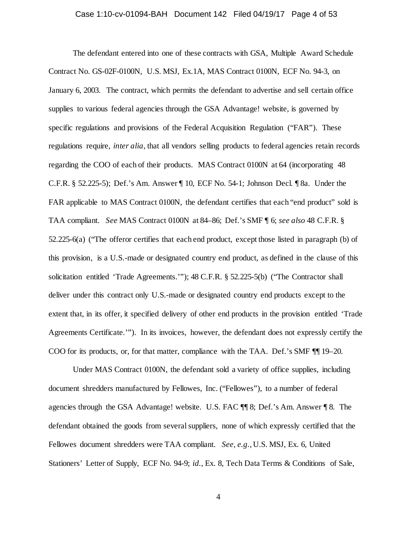### Case 1:10-cv-01094-BAH Document 142 Filed 04/19/17 Page 4 of 53

The defendant entered into one of these contracts with GSA, Multiple Award Schedule Contract No. GS-02F-0100N, U.S. MSJ, Ex.1A, MAS Contract 0100N, ECF No. 94-3, on January 6, 2003. The contract, which permits the defendant to advertise and sell certain office supplies to various federal agencies through the GSA Advantage! website, is governed by specific regulations and provisions of the Federal Acquisition Regulation ("FAR"). These regulations require, *inter alia*, that all vendors selling products to federal agencies retain records regarding the COO of each of their products. MAS Contract 0100N at 64 (incorporating 48 C.F.R. § 52.225-5); Def.'s Am. Answer ¶ 10, ECF No. 54-1; Johnson Decl. ¶ 8a. Under the FAR applicable to MAS Contract 0100N, the defendant certifies that each "end product" sold is TAA compliant. *See* MAS Contract 0100N at 84–86; Def.'s SMF ¶ 6; *see also* 48 C.F.R. § 52.225-6(a) ("The offeror certifies that each end product, except those listed in paragraph (b) of this provision, is a U.S.-made or designated country end product, as defined in the clause of this solicitation entitled 'Trade Agreements.'"); 48 C.F.R. § 52.225-5(b) ("The Contractor shall deliver under this contract only U.S.-made or designated country end products except to the extent that, in its offer, it specified delivery of other end products in the provision entitled 'Trade Agreements Certificate.'"). In its invoices, however, the defendant does not expressly certify the COO for its products, or, for that matter, compliance with the TAA. Def.'s SMF ¶¶ 19–20.

Under MAS Contract 0100N, the defendant sold a variety of office supplies, including document shredders manufactured by Fellowes, Inc. ("Fellowes"), to a number of federal agencies through the GSA Advantage! website. U.S. FAC ¶¶ 8; Def.'s Am. Answer ¶ 8. The defendant obtained the goods from several suppliers, none of which expressly certified that the Fellowes document shredders were TAA compliant. *See, e.g.*, U.S. MSJ, Ex. 6, United Stationers' Letter of Supply, ECF No. 94-9; *id.*, Ex. 8, Tech Data Terms & Conditions of Sale,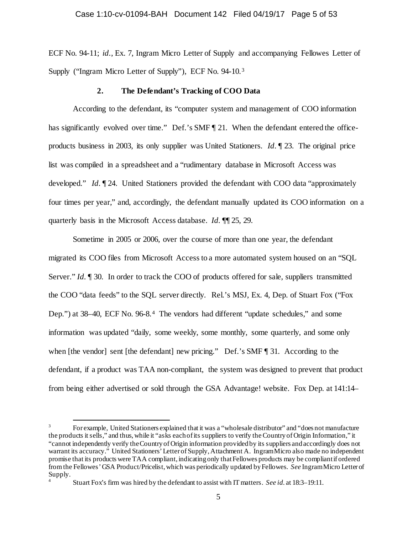ECF No. 94-11; *id.*, Ex. 7, Ingram Micro Letter of Supply and accompanying Fellowes Letter of Supply ("Ingram Micro Letter of Supply"), ECF No. 94-10.3

### **2. The Defendant's Tracking of COO Data**

According to the defendant, its "computer system and management of COO information has significantly evolved over time." Def.'s SMF ¶ 21. When the defendant entered the officeproducts business in 2003, its only supplier was United Stationers. *Id.* ¶ 23. The original price list was compiled in a spreadsheet and a "rudimentary database in Microsoft Access was developed." *Id.* ¶ 24. United Stationers provided the defendant with COO data "approximately four times per year," and, accordingly, the defendant manually updated its COO information on a quarterly basis in the Microsoft Access database. *Id.* ¶¶ 25, 29.

Sometime in 2005 or 2006, over the course of more than one year, the defendant migrated its COO files from Microsoft Access to a more automated system housed on an "SQL Server." *Id.* ¶ 30. In order to track the COO of products offered for sale, suppliers transmitted the COO "data feeds" to the SQL server directly. Rel.'s MSJ, Ex. 4, Dep. of Stuart Fox ("Fox Dep.") at 38–40, ECF No. 96-8.4 The vendors had different "update schedules," and some information was updated "daily, some weekly, some monthly, some quarterly, and some only when [the vendor] sent [the defendant] new pricing." Def.'s SMF [131. According to the defendant, if a product was TAA non-compliant, the system was designed to prevent that product from being either advertised or sold through the GSA Advantage! website. Fox Dep. at 141:14–

 <sup>3</sup> For example, United Stationers explained that it was a "wholesale distributor" and "does not manufacture the products it sells," and thus, while it "asks each of its suppliers to verify the Country of Origin Information," it "cannot independently verify the Country of Origin information provided by its suppliers and accordingly does not warrant its accuracy." United Stationers' Letter of Supply, Attachment A. Ingram Micro also made no independent promise that its products were TAA compliant, indicating only that Fellowes products may be compliant if ordered from the Fellowes' GSA Product/Pricelist, which was periodically updated by Fellowes. *See* Ingram Micro Letter of Supply.

<sup>4</sup> Stuart Fox's firm was hired by the defendant to assist with IT matters. *See id.* at 18:3–19:11.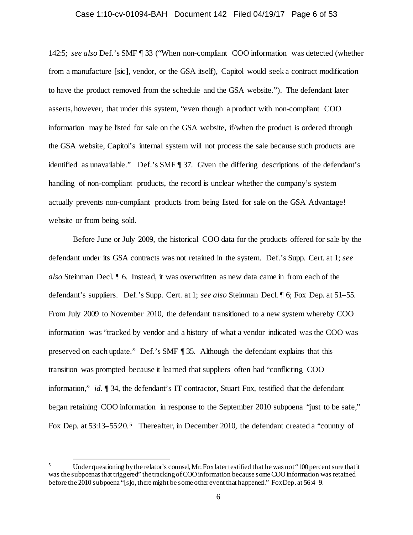#### Case 1:10-cv-01094-BAH Document 142 Filed 04/19/17 Page 6 of 53

142:5; *see also* Def.'s SMF ¶ 33 ("When non-compliant COO information was detected (whether from a manufacture [sic], vendor, or the GSA itself), Capitol would seek a contract modification to have the product removed from the schedule and the GSA website."). The defendant later asserts, however, that under this system, "even though a product with non-compliant COO information may be listed for sale on the GSA website, if/when the product is ordered through the GSA website, Capitol's internal system will not process the sale because such products are identified as unavailable." Def.'s SMF ¶ 37. Given the differing descriptions of the defendant's handling of non-compliant products, the record is unclear whether the company's system actually prevents non-compliant products from being listed for sale on the GSA Advantage! website or from being sold.

Before June or July 2009, the historical COO data for the products offered for sale by the defendant under its GSA contracts was not retained in the system. Def.'s Supp. Cert. at 1; *see also* Steinman Decl. ¶ 6. Instead, it was overwritten as new data came in from each of the defendant's suppliers. Def.'s Supp. Cert. at 1; *see also* Steinman Decl. ¶ 6; Fox Dep. at 51–55. From July 2009 to November 2010, the defendant transitioned to a new system whereby COO information was "tracked by vendor and a history of what a vendor indicated was the COO was preserved on each update." Def.'s SMF ¶ 35. Although the defendant explains that this transition was prompted because it learned that suppliers often had "conflicting COO information," *id.* ¶ 34, the defendant's IT contractor, Stuart Fox, testified that the defendant began retaining COO information in response to the September 2010 subpoena "just to be safe," Fox Dep. at 53:13–55:20.<sup>5</sup> Thereafter, in December 2010, the defendant created a "country of

Under questioning by the relator's counsel, Mr. Fox later testified that he was not "100 percent sure that it was the subpoenas that triggered" the tracking of COO information because some COO information was retained before the 2010 subpoena "[s]o, there might be some other event that happened." Fox Dep. at 56:4–9.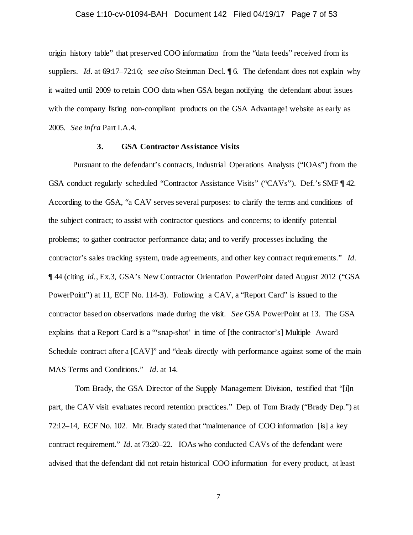### Case 1:10-cv-01094-BAH Document 142 Filed 04/19/17 Page 7 of 53

origin history table" that preserved COO information from the "data feeds" received from its suppliers. *Id.* at 69:17–72:16; *see also* Steinman Decl. ¶ 6. The defendant does not explain why it waited until 2009 to retain COO data when GSA began notifying the defendant about issues with the company listing non-compliant products on the GSA Advantage! website as early as 2005. *See infra* Part I.A.4.

## **3. GSA Contractor Assistance Visits**

Pursuant to the defendant's contracts, Industrial Operations Analysts ("IOAs") from the GSA conduct regularly scheduled "Contractor Assistance Visits" ("CAVs"). Def.'s SMF ¶ 42. According to the GSA, "a CAV serves several purposes: to clarify the terms and conditions of the subject contract; to assist with contractor questions and concerns; to identify potential problems; to gather contractor performance data; and to verify processes including the contractor's sales tracking system, trade agreements, and other key contract requirements." *Id.* ¶ 44 (citing *id.*, Ex.3, GSA's New Contractor Orientation PowerPoint dated August 2012 ("GSA PowerPoint") at 11, ECF No. 114-3). Following a CAV, a "Report Card" is issued to the contractor based on observations made during the visit. *See* GSA PowerPoint at 13. The GSA explains that a Report Card is a "'snap-shot' in time of [the contractor's] Multiple Award Schedule contract after a  $\left[CAV\right]$ " and "deals directly with performance against some of the main MAS Terms and Conditions." *Id.* at 14.

Tom Brady, the GSA Director of the Supply Management Division, testified that "[i]n part, the CAV visit evaluates record retention practices." Dep. of Tom Brady ("Brady Dep.") at 72:12–14, ECF No. 102. Mr. Brady stated that "maintenance of COO information [is] a key contract requirement." *Id.* at 73:20–22. IOAs who conducted CAVs of the defendant were advised that the defendant did not retain historical COO information for every product, at least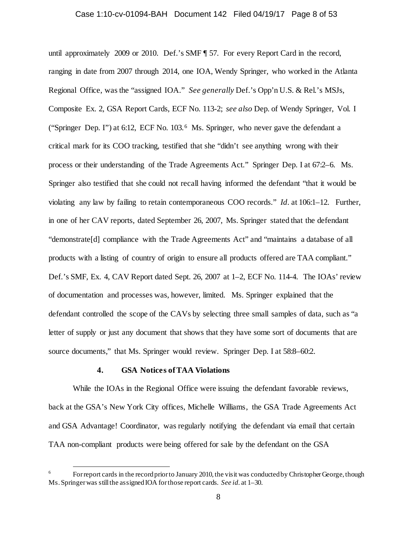#### Case 1:10-cv-01094-BAH Document 142 Filed 04/19/17 Page 8 of 53

until approximately 2009 or 2010. Def.'s SMF ¶ 57. For every Report Card in the record, ranging in date from 2007 through 2014, one IOA, Wendy Springer, who worked in the Atlanta Regional Office, was the "assigned IOA." *See generally* Def.'s Opp'n U.S. & Rel.'s MSJs, Composite Ex. 2, GSA Report Cards, ECF No. 113-2; *see also* Dep. of Wendy Springer, Vol. I ("Springer Dep. I") at 6:12, ECF No. 103.6 Ms. Springer, who never gave the defendant a critical mark for its COO tracking, testified that she "didn't see anything wrong with their process or their understanding of the Trade Agreements Act." Springer Dep. I at 67:2–6. Ms. Springer also testified that she could not recall having informed the defendant "that it would be violating any law by failing to retain contemporaneous COO records." *Id.* at 106:1–12. Further, in one of her CAV reports, dated September 26, 2007, Ms. Springer stated that the defendant "demonstrate[d] compliance with the Trade Agreements Act" and "maintains a database of all products with a listing of country of origin to ensure all products offered are TAA compliant." Def.'s SMF, Ex. 4, CAV Report dated Sept. 26, 2007 at 1–2, ECF No. 114-4. The IOAs' review of documentation and processes was, however, limited. Ms. Springer explained that the defendant controlled the scope of the CAVs by selecting three small samples of data, such as "a letter of supply or just any document that shows that they have some sort of documents that are source documents," that Ms. Springer would review. Springer Dep. I at  $58:8-60:2$ .

### **4. GSA Notices of TAA Violations**

While the IOAs in the Regional Office were issuing the defendant favorable reviews, back at the GSA's New York City offices, Michelle Williams, the GSA Trade Agreements Act and GSA Advantage! Coordinator, was regularly notifying the defendant via email that certain TAA non-compliant products were being offered for sale by the defendant on the GSA

For report cards in the record prior to January 2010, the visit was conducted by Christopher George, though Ms. Springer was still the assigned IOA for those report cards. *See id.* at 1–30.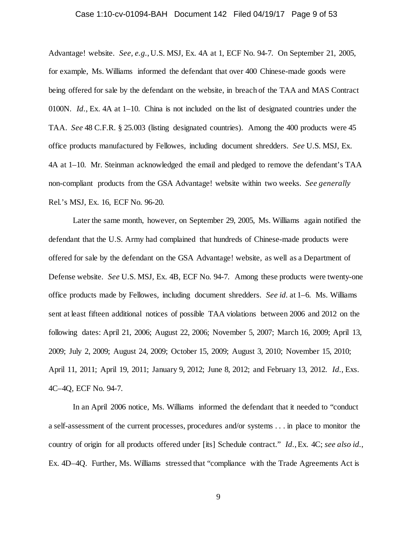#### Case 1:10-cv-01094-BAH Document 142 Filed 04/19/17 Page 9 of 53

Advantage! website. *See, e.g.*, U.S. MSJ, Ex. 4A at 1, ECF No. 94-7. On September 21, 2005, for example, Ms. Williams informed the defendant that over 400 Chinese-made goods were being offered for sale by the defendant on the website, in breach of the TAA and MAS Contract 0100N. *Id.*, Ex. 4A at 1–10. China is not included on the list of designated countries under the TAA. *See* 48 C.F.R. § 25.003 (listing designated countries). Among the 400 products were 45 office products manufactured by Fellowes, including document shredders. *See* U.S. MSJ, Ex. 4A at 1–10. Mr. Steinman acknowledged the email and pledged to remove the defendant's TAA non-compliant products from the GSA Advantage! website within two weeks. *See generally* Rel.'s MSJ, Ex. 16, ECF No. 96-20.

Later the same month, however, on September 29, 2005, Ms. Williams again notified the defendant that the U.S. Army had complained that hundreds of Chinese-made products were offered for sale by the defendant on the GSA Advantage! website, as well as a Department of Defense website. *See* U.S. MSJ, Ex. 4B, ECF No. 94-7. Among these products were twenty-one office products made by Fellowes, including document shredders. *See id.* at 1–6. Ms. Williams sent at least fifteen additional notices of possible TAA violations between 2006 and 2012 on the following dates: April 21, 2006; August 22, 2006; November 5, 2007; March 16, 2009; April 13, 2009; July 2, 2009; August 24, 2009; October 15, 2009; August 3, 2010; November 15, 2010; April 11, 2011; April 19, 2011; January 9, 2012; June 8, 2012; and February 13, 2012. *Id.*, Exs. 4C–4Q, ECF No. 94-7.

In an April 2006 notice, Ms. Williams informed the defendant that it needed to "conduct a self-assessment of the current processes, procedures and/or systems . . . in place to monitor the country of origin for all products offered under [its] Schedule contract." *Id.*, Ex. 4C; *see also id.*, Ex. 4D–4Q. Further, Ms. Williams stressed that "compliance with the Trade Agreements Act is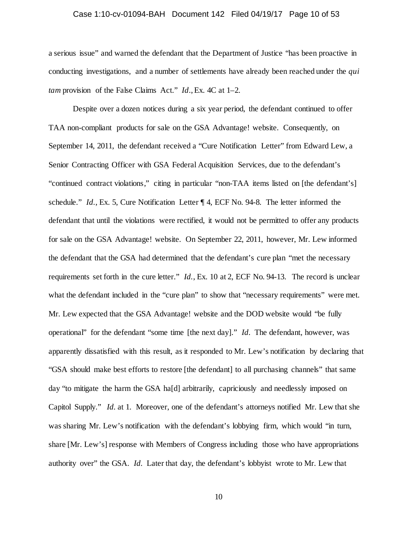### Case 1:10-cv-01094-BAH Document 142 Filed 04/19/17 Page 10 of 53

a serious issue" and warned the defendant that the Department of Justice "has been proactive in conducting investigations, and a number of settlements have already been reached under the *qui tam* provision of the False Claims Act." *Id*., Ex. 4C at 1–2.

Despite over a dozen notices during a six year period, the defendant continued to offer TAA non-compliant products for sale on the GSA Advantage! website. Consequently, on September 14, 2011, the defendant received a "Cure Notification Letter" from Edward Lew, a Senior Contracting Officer with GSA Federal Acquisition Services, due to the defendant's "continued contract violations," citing in particular "non-TAA items listed on [the defendant's] schedule." *Id.*, Ex. 5, Cure Notification Letter ¶ 4, ECF No. 94-8. The letter informed the defendant that until the violations were rectified, it would not be permitted to offer any products for sale on the GSA Advantage! website. On September 22, 2011, however, Mr. Lew informed the defendant that the GSA had determined that the defendant's cure plan "met the necessary requirements set forth in the cure letter." *Id.*, Ex. 10 at 2, ECF No. 94-13. The record is unclear what the defendant included in the "cure plan" to show that "necessary requirements" were met. Mr. Lew expected that the GSA Advantage! website and the DOD website would "be fully operational" for the defendant "some time [the next day]." *Id.* The defendant, however, was apparently dissatisfied with this result, as it responded to Mr. Lew's notification by declaring that "GSA should make best efforts to restore [the defendant] to all purchasing channels" that same day "to mitigate the harm the GSA ha[d] arbitrarily, capriciously and needlessly imposed on Capitol Supply." *Id.* at 1. Moreover, one of the defendant's attorneys notified Mr. Lew that she was sharing Mr. Lew's notification with the defendant's lobbying firm, which would "in turn, share [Mr. Lew's] response with Members of Congress including those who have appropriations authority over" the GSA. *Id.* Later that day, the defendant's lobbyist wrote to Mr. Lew that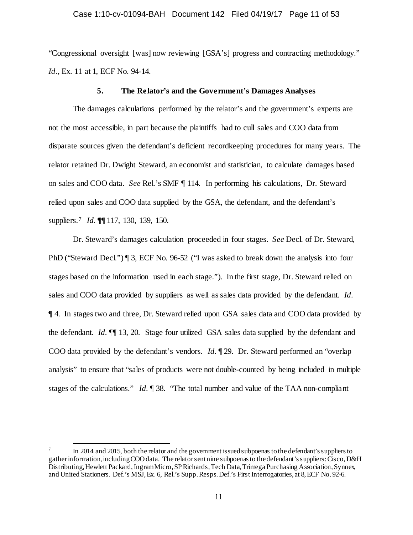### Case 1:10-cv-01094-BAH Document 142 Filed 04/19/17 Page 11 of 53

"Congressional oversight [was] now reviewing [GSA's] progress and contracting methodology." *Id.*, Ex. 11 at 1, ECF No. 94-14.

#### **5. The Relator's and the Government's Damages Analyses**

The damages calculations performed by the relator's and the government's experts are not the most accessible, in part because the plaintiffs had to cull sales and COO data from disparate sources given the defendant's deficient recordkeeping procedures for many years. The relator retained Dr. Dwight Steward, an economist and statistician, to calculate damages based on sales and COO data. *See* Rel.'s SMF ¶ 114. In performing his calculations, Dr. Steward relied upon sales and COO data supplied by the GSA, the defendant, and the defendant's suppliers.7 *Id.* ¶¶ 117, 130, 139, 150.

Dr. Steward's damages calculation proceeded in four stages. *See* Decl. of Dr. Steward, PhD ("Steward Decl.") ¶ 3, ECF No. 96-52 ("I was asked to break down the analysis into four stages based on the information used in each stage."). In the first stage, Dr. Steward relied on sales and COO data provided by suppliers as well as sales data provided by the defendant. *Id.* ¶ 4. In stages two and three, Dr. Steward relied upon GSA sales data and COO data provided by the defendant. *Id.* ¶¶ 13, 20. Stage four utilized GSA sales data supplied by the defendant and COO data provided by the defendant's vendors. *Id.* ¶ 29. Dr. Steward performed an "overlap analysis" to ensure that "sales of products were not double-counted by being included in multiple stages of the calculations." *Id.* ¶ 38. "The total number and value of the TAA non-compliant

In 2014 and 2015, both the relator and the government is sued subpoenas to the defendant's suppliers to gather information, including COO data. The relator sent nine subpoenas to the defendant's suppliers: Cisco, D&H Distributing, Hewlett Packard, Ingram Micro, SP Richards, Tech Data, Trimega Purchasing Association, Synnex, and United Stationers. Def.'s MSJ, Ex. 6, Rel.'s Supp. Resps. Def.'s First Interrogatories, at 8, ECF No. 92-6.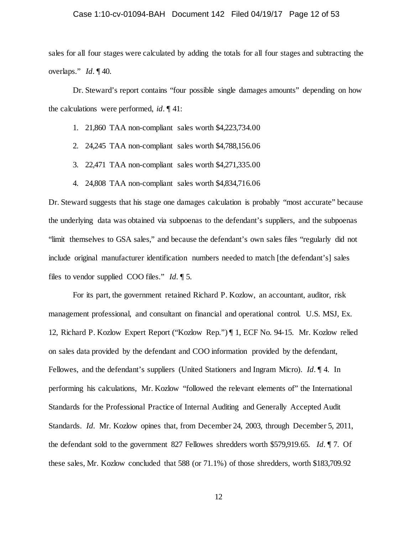#### Case 1:10-cv-01094-BAH Document 142 Filed 04/19/17 Page 12 of 53

sales for all four stages were calculated by adding the totals for all four stages and subtracting the overlaps." *Id.* ¶ 40.

Dr. Steward's report contains "four possible single damages amounts" depending on how the calculations were performed, *id.* ¶ 41:

- 1. 21,860 TAA non-compliant sales worth \$4,223,734.00
- 2. 24,245 TAA non-compliant sales worth \$4,788,156.06
- 3. 22,471 TAA non-compliant sales worth \$4,271,335.00
- 4. 24,808 TAA non-compliant sales worth \$4,834,716.06

Dr. Steward suggests that his stage one damages calculation is probably "most accurate" because the underlying data was obtained via subpoenas to the defendant's suppliers, and the subpoenas "limit themselves to GSA sales," and because the defendant's own sales files "regularly did not include original manufacturer identification numbers needed to match [the defendant's] sales files to vendor supplied COO files." *Id.* ¶ 5.

For its part, the government retained Richard P. Kozlow, an accountant, auditor, risk management professional, and consultant on financial and operational control. U.S. MSJ, Ex. 12, Richard P. Kozlow Expert Report ("Kozlow Rep.") ¶ 1, ECF No. 94-15. Mr. Kozlow relied on sales data provided by the defendant and COO information provided by the defendant, Fellowes, and the defendant's suppliers (United Stationers and Ingram Micro). *Id.* ¶ 4. In performing his calculations, Mr. Kozlow "followed the relevant elements of" the International Standards for the Professional Practice of Internal Auditing and Generally Accepted Audit Standards. *Id.* Mr. Kozlow opines that, from December 24, 2003, through December 5, 2011, the defendant sold to the government 827 Fellowes shredders worth \$579,919.65. *Id.* ¶ 7. Of these sales, Mr. Kozlow concluded that 588 (or 71.1%) of those shredders, worth \$183,709.92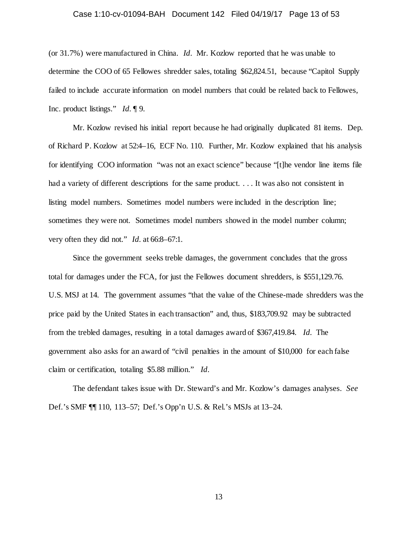#### Case 1:10-cv-01094-BAH Document 142 Filed 04/19/17 Page 13 of 53

(or 31.7%) were manufactured in China. *Id.* Mr. Kozlow reported that he was unable to determine the COO of 65 Fellowes shredder sales, totaling \$62,824.51, because "Capitol Supply failed to include accurate information on model numbers that could be related back to Fellowes, Inc. product listings." *Id.* ¶ 9.

Mr. Kozlow revised his initial report because he had originally duplicated 81 items. Dep. of Richard P. Kozlow at 52:4–16, ECF No. 110. Further, Mr. Kozlow explained that his analysis for identifying COO information "was not an exact science" because "[t]he vendor line items file had a variety of different descriptions for the same product. . . . It was also not consistent in listing model numbers. Sometimes model numbers were included in the description line; sometimes they were not. Sometimes model numbers showed in the model number column; very often they did not." *Id.* at 66:8–67:1.

Since the government seeks treble damages, the government concludes that the gross total for damages under the FCA, for just the Fellowes document shredders, is \$551,129.76. U.S. MSJ at 14. The government assumes "that the value of the Chinese-made shredders was the price paid by the United States in each transaction" and, thus, \$183,709.92 may be subtracted from the trebled damages, resulting in a total damages award of \$367,419.84. *Id.* The government also asks for an award of "civil penalties in the amount of \$10,000 for each false claim or certification, totaling \$5.88 million." *Id.*

The defendant takes issue with Dr. Steward's and Mr. Kozlow's damages analyses. *See* Def.'s SMF ¶¶ 110, 113–57; Def.'s Opp'n U.S. & Rel.'s MSJs at 13–24.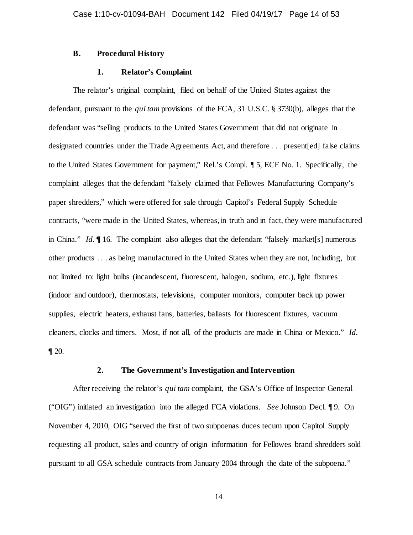### **B. Procedural History**

### **1. Relator's Complaint**

The relator's original complaint, filed on behalf of the United States against the defendant, pursuant to the *qui tam* provisions of the FCA, 31 U.S.C. § 3730(b), alleges that the defendant was "selling products to the United States Government that did not originate in designated countries under the Trade Agreements Act, and therefore . . . present[ed] false claims to the United States Government for payment," Rel.'s Compl. ¶ 5, ECF No. 1. Specifically, the complaint alleges that the defendant "falsely claimed that Fellowes Manufacturing Company's paper shredders," which were offered for sale through Capitol's Federal Supply Schedule contracts, "were made in the United States, whereas, in truth and in fact, they were manufactured in China." *Id.* ¶ 16. The complaint also alleges that the defendant "falsely market[s] numerous other products . . . as being manufactured in the United States when they are not, including, but not limited to: light bulbs (incandescent, fluorescent, halogen, sodium, etc.), light fixtures (indoor and outdoor), thermostats, televisions, computer monitors, computer back up power supplies, electric heaters, exhaust fans, batteries, ballasts for fluorescent fixtures, vacuum cleaners, clocks and timers. Most, if not all, of the products are made in China or Mexico." *Id.*  $\P$  20.

### **2. The Government's Investigation and Intervention**

After receiving the relator's *qui tam* complaint, the GSA's Office of Inspector General ("OIG") initiated an investigation into the alleged FCA violations. *See* Johnson Decl. ¶ 9. On November 4, 2010, OIG "served the first of two subpoenas duces tecum upon Capitol Supply requesting all product, sales and country of origin information for Fellowes brand shredders sold pursuant to all GSA schedule contracts from January 2004 through the date of the subpoena."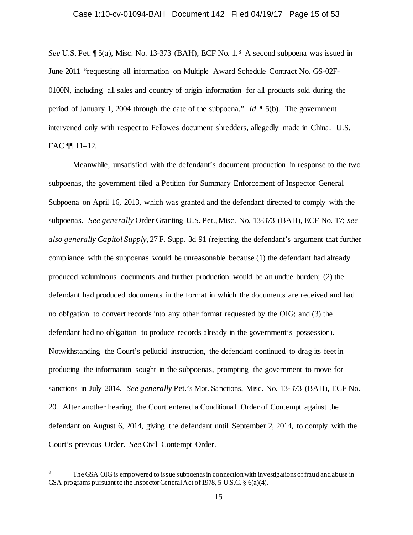*See* U.S. Pet. ¶ 5(a), Misc. No. 13-373 (BAH), ECF No. 1.8 A second subpoena was issued in June 2011 "requesting all information on Multiple Award Schedule Contract No. GS-02F-0100N, including all sales and country of origin information for all products sold during the period of January 1, 2004 through the date of the subpoena." *Id.* ¶ 5(b). The government intervened only with respect to Fellowes document shredders, allegedly made in China. U.S. FAC ¶¶ 11–12.

Meanwhile, unsatisfied with the defendant's document production in response to the two subpoenas, the government filed a Petition for Summary Enforcement of Inspector General Subpoena on April 16, 2013, which was granted and the defendant directed to comply with the subpoenas. *See generally* Order Granting U.S. Pet., Misc. No. 13-373 (BAH), ECF No. 17; *see also generally Capitol Supply*, 27 F. Supp. 3d 91 (rejecting the defendant's argument that further compliance with the subpoenas would be unreasonable because (1) the defendant had already produced voluminous documents and further production would be an undue burden; (2) the defendant had produced documents in the format in which the documents are received and had no obligation to convert records into any other format requested by the OIG; and (3) the defendant had no obligation to produce records already in the government's possession). Notwithstanding the Court's pellucid instruction, the defendant continued to drag its feet in producing the information sought in the subpoenas, prompting the government to move for sanctions in July 2014. *See generally* Pet.'s Mot. Sanctions, Misc. No. 13-373 (BAH), ECF No. 20. After another hearing, the Court entered a Conditional Order of Contempt against the defendant on August 6, 2014, giving the defendant until September 2, 2014, to comply with the Court's previous Order. *See* Civil Contempt Order.

The GSA OIG is empowered to issue subpoenas in connection with investigations of fraud and abuse in GSA programs pursuant to the Inspector General Act of 1978, 5 U.S.C. § 6(a)(4).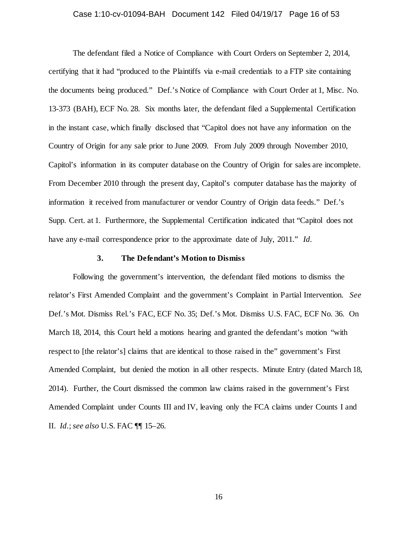#### Case 1:10-cv-01094-BAH Document 142 Filed 04/19/17 Page 16 of 53

The defendant filed a Notice of Compliance with Court Orders on September 2, 2014, certifying that it had "produced to the Plaintiffs via e-mail credentials to a FTP site containing the documents being produced." Def.'s Notice of Compliance with Court Order at 1, Misc. No. 13-373 (BAH), ECF No. 28. Six months later, the defendant filed a Supplemental Certification in the instant case, which finally disclosed that "Capitol does not have any information on the Country of Origin for any sale prior to June 2009. From July 2009 through November 2010, Capitol's information in its computer database on the Country of Origin for sales are incomplete. From December 2010 through the present day, Capitol's computer database has the majority of information it received from manufacturer or vendor Country of Origin data feeds." Def.'s Supp. Cert. at 1. Furthermore, the Supplemental Certification indicated that "Capitol does not have any e-mail correspondence prior to the approximate date of July, 2011." *Id.*

### **3. The Defendant's Motion to Dismiss**

Following the government's intervention, the defendant filed motions to dismiss the relator's First Amended Complaint and the government's Complaint in Partial Intervention. *See* Def.'s Mot. Dismiss Rel.'s FAC, ECF No. 35; Def.'s Mot. Dismiss U.S. FAC, ECF No. 36. On March 18, 2014, this Court held a motions hearing and granted the defendant's motion "with respect to [the relator's] claims that are identical to those raised in the" government's First Amended Complaint, but denied the motion in all other respects. Minute Entry (dated March 18, 2014). Further, the Court dismissed the common law claims raised in the government's First Amended Complaint under Counts III and IV, leaving only the FCA claims under Counts I and II. *Id.*; *see also* U.S. FAC ¶¶ 15–26.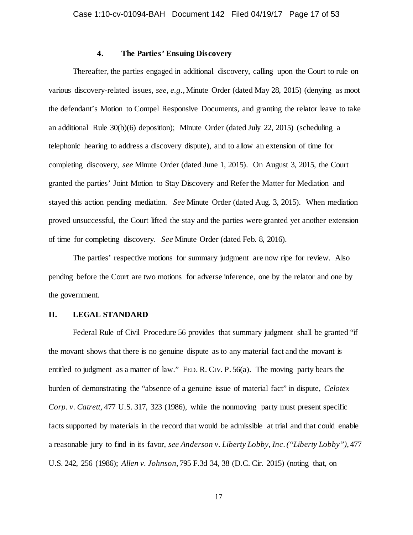# **4. The Parties' Ensuing Discovery**

Thereafter, the parties engaged in additional discovery, calling upon the Court to rule on various discovery-related issues, *see, e.g.*, Minute Order (dated May 28, 2015) (denying as moot the defendant's Motion to Compel Responsive Documents, and granting the relator leave to take an additional Rule 30(b)(6) deposition); Minute Order (dated July 22, 2015) (scheduling a telephonic hearing to address a discovery dispute), and to allow an extension of time for completing discovery, *see* Minute Order (dated June 1, 2015). On August 3, 2015, the Court granted the parties' Joint Motion to Stay Discovery and Refer the Matter for Mediation and stayed this action pending mediation. *See* Minute Order (dated Aug. 3, 2015). When mediation proved unsuccessful, the Court lifted the stay and the parties were granted yet another extension of time for completing discovery. *See* Minute Order (dated Feb. 8, 2016).

The parties' respective motions for summary judgment are now ripe for review. Also pending before the Court are two motions for adverse inference, one by the relator and one by the government.

### **II. LEGAL STANDARD**

Federal Rule of Civil Procedure 56 provides that summary judgment shall be granted "if the movant shows that there is no genuine dispute as to any material fact and the movant is entitled to judgment as a matter of law." FED. R. CIV. P. 56(a). The moving party bears the burden of demonstrating the "absence of a genuine issue of material fact" in dispute, *Celotex Corp. v. Catrett*, 477 U.S. 317, 323 (1986), while the nonmoving party must present specific facts supported by materials in the record that would be admissible at trial and that could enable a reasonable jury to find in its favor, *see Anderson v. Liberty Lobby, Inc*. *("Liberty Lobby")*, 477 U.S. 242, 256 (1986); *Allen v. Johnson*, 795 F.3d 34, 38 (D.C. Cir. 2015) (noting that, on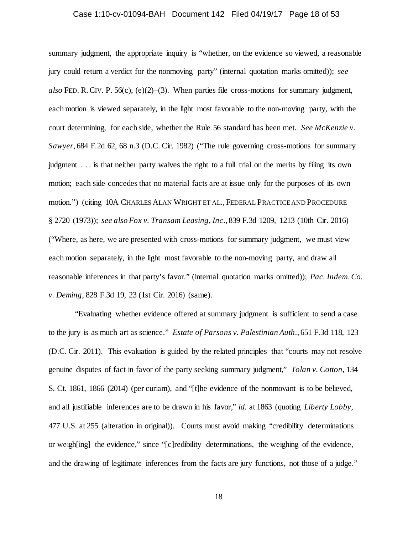### Case 1:10-cv-01094-BAH Document 142 Filed 04/19/17 Page 18 of 53

summary judgment, the appropriate inquiry is "whether, on the evidence so viewed, a reasonable jury could return a verdict for the nonmoving party" (internal quotation marks omitted)); *see also* FED. R.CIV. P. 56(c), (e)(2)–(3). When parties file cross-motions for summary judgment, each motion is viewed separately, in the light most favorable to the non-moving party, with the court determining, for each side, whether the Rule 56 standard has been met. *See McKenzie v. Sawyer*, 684 F.2d 62, 68 n.3 (D.C. Cir. 1982) ("The rule governing cross-motions for summary judgment . . . is that neither party waives the right to a full trial on the merits by filing its own motion; each side concedes that no material facts are at issue only for the purposes of its own motion.") (citing 10A CHARLES ALAN WRIGHT ET AL., FEDERAL PRACTICE AND PROCEDURE § 2720 (1973)); *see also Fox v. Transam Leasing, Inc*., 839 F.3d 1209, 1213 (10th Cir. 2016) ("Where, as here, we are presented with cross-motions for summary judgment, we must view each motion separately, in the light most favorable to the non-moving party, and draw all reasonable inferences in that party's favor." (internal quotation marks omitted)); *Pac. Indem. Co. v. Deming*, 828 F.3d 19, 23 (1st Cir. 2016) (same).

"Evaluating whether evidence offered at summary judgment is sufficient to send a case to the jury is as much art as science." *Estate of Parsons v. Palestinian Auth*., 651 F.3d 118, 123 (D.C. Cir. 2011). This evaluation is guided by the related principles that "courts may not resolve genuine disputes of fact in favor of the party seeking summary judgment," *Tolan v. Cotton*, 134 S. Ct. 1861, 1866 (2014) (per curiam), and "[t]he evidence of the nonmovant is to be believed, and all justifiable inferences are to be drawn in his favor," *id.* at 1863 (quoting *Liberty Lobby*, 477 U.S. at 255 (alteration in original)). Courts must avoid making "credibility determinations or weigh[ing] the evidence," since "[c]redibility determinations, the weighing of the evidence, and the drawing of legitimate inferences from the facts are jury functions, not those of a judge."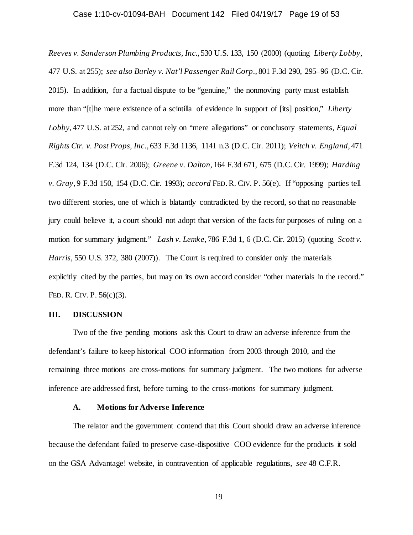# Case 1:10-cv-01094-BAH Document 142 Filed 04/19/17 Page 19 of 53

*Reeves v. Sanderson Plumbing Products, Inc.*, 530 U.S. 133, 150 (2000) (quoting *Liberty Lobby*, 477 U.S. at 255); *see also Burley v. Nat'l Passenger Rail Corp*., 801 F.3d 290, 295–96 (D.C. Cir. 2015). In addition, for a factual dispute to be "genuine," the nonmoving party must establish more than "[t]he mere existence of a scintilla of evidence in support of [its] position," *Liberty Lobby*, 477 U.S. at 252, and cannot rely on "mere allegations" or conclusory statements, *Equal Rights Ctr. v. Post Props, Inc.*, 633 F.3d 1136, 1141 n.3 (D.C. Cir. 2011); *Veitch v. England*, 471 F.3d 124, 134 (D.C. Cir. 2006); *Greene v. Dalton*, 164 F.3d 671, 675 (D.C. Cir. 1999); *Harding v. Gray*, 9 F.3d 150, 154 (D.C. Cir. 1993); *accord* FED.R. CIV. P. 56(e). If "opposing parties tell two different stories, one of which is blatantly contradicted by the record, so that no reasonable jury could believe it, a court should not adopt that version of the facts for purposes of ruling on a motion for summary judgment." *Lash v. Lemke*, 786 F.3d 1, 6 (D.C. Cir. 2015) (quoting *Scott v. Harris*, 550 U.S. 372, 380 (2007)). The Court is required to consider only the materials explicitly cited by the parties, but may on its own accord consider "other materials in the record." FED. R. CIV. P. 56(c)(3).

### **III. DISCUSSION**

Two of the five pending motions ask this Court to draw an adverse inference from the defendant's failure to keep historical COO information from 2003 through 2010, and the remaining three motions are cross-motions for summary judgment. The two motions for adverse inference are addressed first, before turning to the cross-motions for summary judgment.

### **A. Motions for Adverse Inference**

The relator and the government contend that this Court should draw an adverse inference because the defendant failed to preserve case-dispositive COO evidence for the products it sold on the GSA Advantage! website, in contravention of applicable regulations, *see* 48 C.F.R.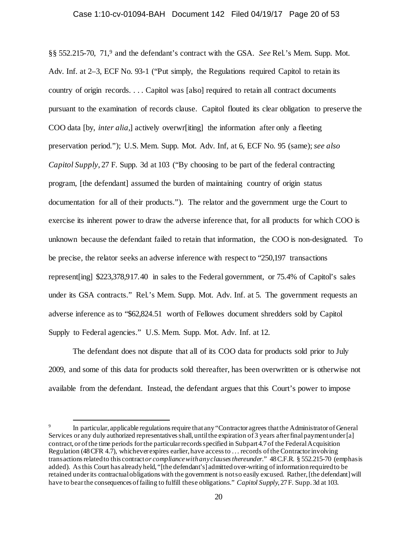§§ 552.215-70, 71,9 and the defendant's contract with the GSA. *See* Rel.'s Mem. Supp. Mot. Adv. Inf. at 2–3, ECF No. 93-1 ("Put simply, the Regulations required Capitol to retain its country of origin records. . . . Capitol was [also] required to retain all contract documents pursuant to the examination of records clause. Capitol flouted its clear obligation to preserve the COO data [by, *inter alia*,] actively overwr[iting] the information after only a fleeting preservation period."); U.S. Mem. Supp. Mot. Adv. Inf, at 6, ECF No. 95 (same); *see also Capitol Supply*, 27 F. Supp. 3d at 103 ("By choosing to be part of the federal contracting program, [the defendant] assumed the burden of maintaining country of origin status documentation for all of their products."). The relator and the government urge the Court to exercise its inherent power to draw the adverse inference that, for all products for which COO is unknown because the defendant failed to retain that information, the COO is non-designated. To be precise, the relator seeks an adverse inference with respect to "250,197 transactions represent[ing] \$223,378,917.40 in sales to the Federal government, or 75.4% of Capitol's sales under its GSA contracts." Rel.'s Mem. Supp. Mot. Adv. Inf. at 5. The government requests an adverse inference as to "\$62,824.51 worth of Fellowes document shredders sold by Capitol Supply to Federal agencies." U.S. Mem. Supp. Mot. Adv. Inf. at 12.

The defendant does not dispute that all of its COO data for products sold prior to July 2009, and some of this data for products sold thereafter, has been overwritten or is otherwise not available from the defendant. Instead, the defendant argues that this Court's power to impose

In particular, applicable regulations require that any "Contractor agrees that the Administrator of General Services or any duly authorized representatives shall, until the expiration of 3 years after final payment under [a] contract, or of the time periods for the particular records specified in Subpart 4.7 of the Federal Acquisition Regulation (48 CFR 4.7), whichever expires earlier, have access to . . . records of the Contractor involving transactions related to this contract *or compliance with any clauses thereunder.*" 48 C.F.R. § 552.215-70 (emphasis added). As this Court has already held, "[the defendant's] admitted over-writing of information required to be retained under its contractual obligations with the government is not so easily excused. Rather, [the defendant] will have to bear the consequences of failing to fulfill these obligations." *Capitol Supply*, 27 F. Supp. 3d at 103.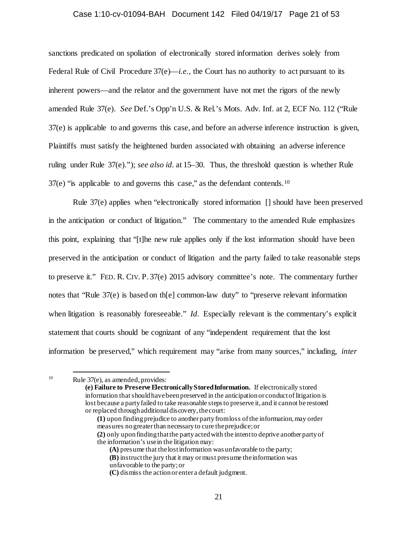#### Case 1:10-cv-01094-BAH Document 142 Filed 04/19/17 Page 21 of 53

sanctions predicated on spoliation of electronically stored information derives solely from Federal Rule of Civil Procedure 37(e)—*i.e.*, the Court has no authority to act pursuant to its inherent powers—and the relator and the government have not met the rigors of the newly amended Rule 37(e). *See* Def.'s Opp'n U.S. & Rel.'s Mots. Adv. Inf. at 2, ECF No. 112 ("Rule 37(e) is applicable to and governs this case, and before an adverse inference instruction is given, Plaintiffs must satisfy the heightened burden associated with obtaining an adverse inference ruling under Rule 37(e)."); *see also id.* at 15–30. Thus, the threshold question is whether Rule  $37(e)$  "is applicable to and governs this case," as the defendant contends.<sup>10</sup>

Rule 37(e) applies when "electronically stored information [] should have been preserved in the anticipation or conduct of litigation." The commentary to the amended Rule emphasizes this point, explaining that "[t]he new rule applies only if the lost information should have been preserved in the anticipation or conduct of litigation and the party failed to take reasonable steps to preserve it." FED. R. CIV. P. 37(e) 2015 advisory committee's note. The commentary further notes that "Rule 37(e) is based on th[e] common-law duty" to "preserve relevant information when litigation is reasonably foreseeable." *Id.* Especially relevant is the commentary's explicit statement that courts should be cognizant of any "independent requirement that the lost information be preserved," which requirement may "arise from many sources," including, *inter* 

**(e) Failure to Preserve Electronically Stored Information.** If electronically stored information that should have been preserved in the anticipation or conduct of litigation is lost because a party failed to take reasonable steps to preserve it, and it cannot be restored or replaced through additional discovery, the court:

**(1)** upon finding prejudice to another party from loss of the information, may order measures no greater than necessary to cure the prejudice; or

**(2)** only upon finding that the party acted with the intent to deprive another party of the information's use in the litigation may:

**(A)** presume that the lost information was unfavorable to the party;

<sup>&</sup>lt;sup>10</sup> Rule 37(e), as amended, provides:

**<sup>(</sup>B)** instruct the jury that it may or must presume the information was

unfavorable to the party; or

**<sup>(</sup>C)** dismiss the action or enter a default judgment.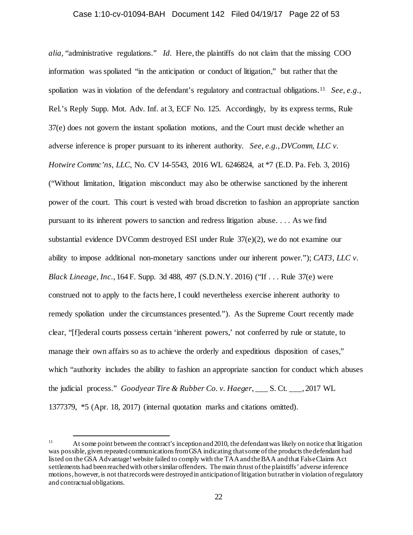*alia*, "administrative regulations." *Id.* Here, the plaintiffs do not claim that the missing COO information was spoliated "in the anticipation or conduct of litigation," but rather that the spoliation was in violation of the defendant's regulatory and contractual obligations.11 *See, e.g.*, Rel.'s Reply Supp. Mot. Adv. Inf. at 3, ECF No. 125. Accordingly, by its express terms, Rule 37(e) does not govern the instant spoliation motions, and the Court must decide whether an adverse inference is proper pursuant to its inherent authority. *See, e.g.*, *DVComm, LLC v. Hotwire Commc'ns, LLC*, No. CV 14-5543, 2016 WL 6246824, at \*7 (E.D. Pa. Feb. 3, 2016) ("Without limitation, litigation misconduct may also be otherwise sanctioned by the inherent power of the court. This court is vested with broad discretion to fashion an appropriate sanction pursuant to its inherent powers to sanction and redress litigation abuse. . . . As we find substantial evidence DVComm destroyed ESI under Rule 37(e)(2), we do not examine our ability to impose additional non-monetary sanctions under our inherent power."); *CAT3, LLC v. Black Lineage, Inc.*, 164 F. Supp. 3d 488, 497 (S.D.N.Y. 2016) ("If . . . Rule 37(e) were construed not to apply to the facts here, I could nevertheless exercise inherent authority to remedy spoliation under the circumstances presented."). As the Supreme Court recently made clear, "[f]ederal courts possess certain 'inherent powers,' not conferred by rule or statute, to manage their own affairs so as to achieve the orderly and expeditious disposition of cases," which "authority includes the ability to fashion an appropriate sanction for conduct which abuses the judicial process." *Goodyear Tire & Rubber Co. v. Haeger*, \_\_\_ S. Ct. \_\_\_, 2017 WL 1377379, \*5 (Apr. 18, 2017) (internal quotation marks and citations omitted).

<sup>&</sup>lt;sup>11</sup> At some point between the contract's inception and 2010, the defendant was likely on notice that litigation was possible, given repeated communications from GSA indicating that some of the products the defendant had listed on the GSA Advantage! website failed to comply with the TAA and the BAA and that False Claims Act settlements had been reached with other similar offenders. The main thrust of the plaintiffs' adverse inference motions, however, is not that records were destroyed in anticipation of litigation but rather in violation of regulatory and contractual obligations.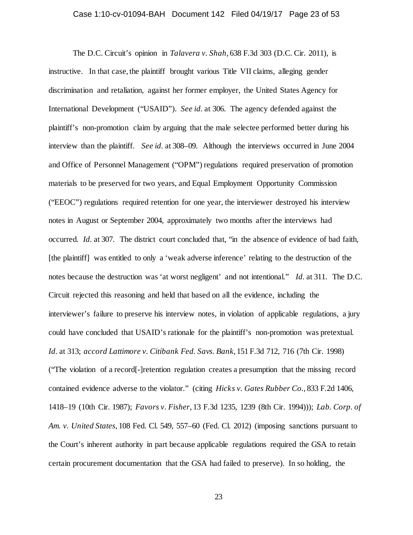### Case 1:10-cv-01094-BAH Document 142 Filed 04/19/17 Page 23 of 53

The D.C. Circuit's opinion in *Talavera v. Shah*, 638 F.3d 303 (D.C. Cir. 2011), is instructive. In that case, the plaintiff brought various Title VII claims, alleging gender discrimination and retaliation, against her former employer, the United States Agency for International Development ("USAID"). *See id.* at 306. The agency defended against the plaintiff's non-promotion claim by arguing that the male selectee performed better during his interview than the plaintiff. *See id.* at 308–09. Although the interviews occurred in June 2004 and Office of Personnel Management ("OPM") regulations required preservation of promotion materials to be preserved for two years, and Equal Employment Opportunity Commission ("EEOC") regulations required retention for one year, the interviewer destroyed his interview notes in August or September 2004, approximately two months after the interviews had occurred. *Id.* at 307. The district court concluded that, "in the absence of evidence of bad faith, [the plaintiff] was entitled to only a 'weak adverse inference' relating to the destruction of the notes because the destruction was 'at worst negligent' and not intentional." *Id.* at 311. The D.C. Circuit rejected this reasoning and held that based on all the evidence, including the interviewer's failure to preserve his interview notes, in violation of applicable regulations, a jury could have concluded that USAID's rationale for the plaintiff's non-promotion was pretextual. *Id.* at 313; *accord Lattimore v. Citibank Fed. Savs. Bank*, 151 F.3d 712, 716 (7th Cir. 1998) ("The violation of a record[-]retention regulation creates a presumption that the missing record contained evidence adverse to the violator." (citing *Hicks v. Gates Rubber Co.*, 833 F.2d 1406, 1418–19 (10th Cir. 1987); *Favors v. Fisher*, 13 F.3d 1235, 1239 (8th Cir. 1994))); *Lab. Corp. of Am. v. United States*, 108 Fed. Cl. 549, 557–60 (Fed. Cl. 2012) (imposing sanctions pursuant to the Court's inherent authority in part because applicable regulations required the GSA to retain certain procurement documentation that the GSA had failed to preserve). In so holding, the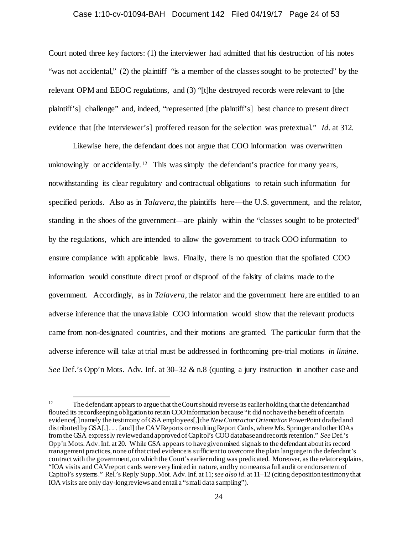#### Case 1:10-cv-01094-BAH Document 142 Filed 04/19/17 Page 24 of 53

Court noted three key factors: (1) the interviewer had admitted that his destruction of his notes "was not accidental," (2) the plaintiff "is a member of the classes sought to be protected" by the relevant OPM and EEOC regulations, and (3) "[t]he destroyed records were relevant to [the plaintiff's] challenge" and, indeed, "represented [the plaintiff's] best chance to present direct evidence that [the interviewer's] proffered reason for the selection was pretextual." *Id.* at 312.

Likewise here, the defendant does not argue that COO information was overwritten unknowingly or accidentally.<sup>12</sup> This was simply the defendant's practice for many years, notwithstanding its clear regulatory and contractual obligations to retain such information for specified periods. Also as in *Talavera*, the plaintiffs here—the U.S. government, and the relator, standing in the shoes of the government—are plainly within the "classes sought to be protected" by the regulations, which are intended to allow the government to track COO information to ensure compliance with applicable laws. Finally, there is no question that the spoliated COO information would constitute direct proof or disproof of the falsity of claims made to the government. Accordingly, as in *Talavera*, the relator and the government here are entitled to an adverse inference that the unavailable COO information would show that the relevant products came from non-designated countries, and their motions are granted. The particular form that the adverse inference will take at trial must be addressed in forthcoming pre-trial motions *in limine*. *See* Def.'s Opp'n Mots. Adv. Inf. at 30–32 & n.8 (quoting a jury instruction in another case and

<sup>&</sup>lt;sup>12</sup> The defendant appears to argue that the Court should reverse its earlier holding that the defendant had flouted its recordkeeping obligation to retain COO information because "it did not have the benefit of certain evidence[,] namely the testimony of GSA employees[,] the *New Contractor Orientation* PowerPoint drafted and distributed by GSA[,] . . . [and] the CAV Reports or resulting Report Cards, where Ms. Springer and other IOAs from the GSA expressly reviewed and approved of Capitol's COO database and records retention." *See* Def.'s Opp'n Mots. Adv. Inf. at 20. While GSA appears to have given mixed signals to the defendant about its record management practices, none of that cited evidence is sufficient to overcome the plain language in the defendant's contract with the government, on which the Court's earlier ruling was predicated. Moreover, as the relator explains, "IOA visits and CAV report cards were very limited in nature, and by no means a full audit or endorsement of Capitol's systems." Rel.'s Reply Supp. Mot. Adv. Inf. at 11; *see also id.* at 11–12 (citing deposition testimony that IOA visits are only day-long reviews and entail a "small data sampling").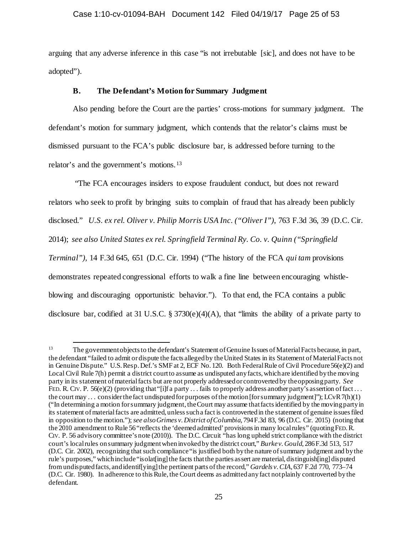### Case 1:10-cv-01094-BAH Document 142 Filed 04/19/17 Page 25 of 53

arguing that any adverse inference in this case "is not irrebutable [sic], and does not have to be adopted").

## **B. The Defendant's Motion for Summary Judgment**

Also pending before the Court are the parties' cross-motions for summary judgment. The defendant's motion for summary judgment, which contends that the relator's claims must be dismissed pursuant to the FCA's public disclosure bar, is addressed before turning to the relator's and the government's motions.13

"The FCA encourages insiders to expose fraudulent conduct, but does not reward relators who seek to profit by bringing suits to complain of fraud that has already been publicly disclosed." *U.S. ex rel. Oliver v. Philip Morris USA Inc. ("Oliver I")*, 763 F.3d 36, 39 (D.C. Cir. 2014); *see also United States ex rel. Springfield Terminal Ry. Co. v. Quinn ("Springfield Terminal")*, 14 F.3d 645, 651 (D.C. Cir. 1994) ("The history of the FCA *qui tam* provisions demonstrates repeated congressional efforts to walk a fine line between encouraging whistleblowing and discouraging opportunistic behavior."). To that end, the FCA contains a public disclosure bar, codified at 31 U.S.C. § 3730(e)(4)(A), that "limits the ability of a private party to

<sup>&</sup>lt;sup>13</sup> The government objects to the defendant's Statement of Genuine Issues of Material Facts because, in part, the defendant "failed to admit or dispute the facts alleged by the United States in its Statement of Material Facts not in Genuine Dispute." U.S. Resp.Def.'s SMF at 2, ECF No. 120. Both Federal Rule of Civil Procedure 56(e)(2) and Local Civil Rule 7(h) permit a district court to assume as undisputed any facts, which are identified by the moving party in its statement of material facts but are not properly addressed or controverted by the opposing party. *See* FED. R. CIV. P.  $56(e)(2)$  (providing that "[i]f a party ... fails to properly address another party's assertion of fact ... the court may ... consider the fact undisputed for purposes of the motion [for summary judgment]"); LCvR7(h)(1) ("In determining a motion for summary judgment, the Court may assume that facts identified by the moving party in its statement of material facts are admitted, unless such a fact is controverted in the statement of genuine issues filed in opposition to the motion."); *see also Grimes v. District of Columbia*, 794 F.3d 83, 96 (D.C. Cir. 2015) (noting that the 2010 amendment to Rule 56 "reflects the 'deemed admitted' provisions in many local rules" (quoting FED.R. CIV. P. 56 advisory committee's note (2010)). The D.C. Circuit "has long upheld strict compliance with the district court's local rules on summary judgment when invoked by the district court," *Burke v. Gould*, 286 F.3d 513, 517 (D.C. Cir. 2002), recognizing that such compliance "is justified both by the nature of summary judgment and by the rule's purposes," which include "isolat[ing] the facts that the parties assert are material, distinguish[ing] disputed from undisputed facts, and identif[ying] the pertinent parts of the record," *Gardels v. CIA*, 637 F.2d 770, 773–74 (D.C. Cir. 1980). In adherence to this Rule, the Court deems as admitted any fact not plainly controverted by the defendant.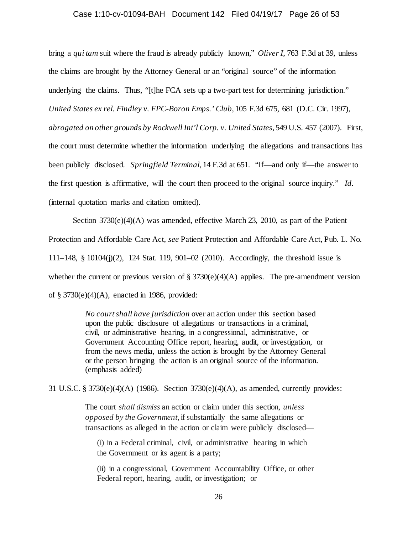#### Case 1:10-cv-01094-BAH Document 142 Filed 04/19/17 Page 26 of 53

bring a *qui tam* suit where the fraud is already publicly known," *Oliver I*, 763 F.3d at 39, unless the claims are brought by the Attorney General or an "original source" of the information underlying the claims. Thus, "[t]he FCA sets up a two-part test for determining jurisdiction." *United States ex rel. Findley v. FPC-Boron Emps.' Club*, 105 F.3d 675, 681 (D.C. Cir. 1997), *abrogated on other grounds by Rockwell Int'l Corp. v. United States*, 549 U.S. 457 (2007). First, the court must determine whether the information underlying the allegations and transactions has been publicly disclosed. *Springfield Terminal*, 14 F.3d at 651. "If—and only if—the answer to the first question is affirmative, will the court then proceed to the original source inquiry." *Id.* (internal quotation marks and citation omitted).

Section  $3730(e)(4)(A)$  was amended, effective March 23, 2010, as part of the Patient Protection and Affordable Care Act, *see* Patient Protection and Affordable Care Act, Pub. L. No. 111–148, § 10104(j)(2), 124 Stat. 119, 901–02 (2010). Accordingly, the threshold issue is whether the current or previous version of  $\S 3730(e)(4)(A)$  applies. The pre-amendment version of  $\S 3730(e)(4)(A)$ , enacted in 1986, provided:

> *No court shall have jurisdiction* over an action under this section based upon the public disclosure of allegations or transactions in a criminal, civil, or administrative hearing, in a congressional, administrative, or Government Accounting Office report, hearing, audit, or investigation, or from the news media, unless the action is brought by the Attorney General or the person bringing the action is an original source of the information. (emphasis added)

31 U.S.C. § 3730(e)(4)(A) (1986). Section 3730(e)(4)(A), as amended, currently provides:

The court *shall dismiss* an action or claim under this section, *unless opposed by the Government*, if substantially the same allegations or transactions as alleged in the action or claim were publicly disclosed—

(i) in a Federal criminal, civil, or administrative hearing in which the Government or its agent is a party;

(ii) in a congressional, Government Accountability Office, or other Federal report, hearing, audit, or investigation; or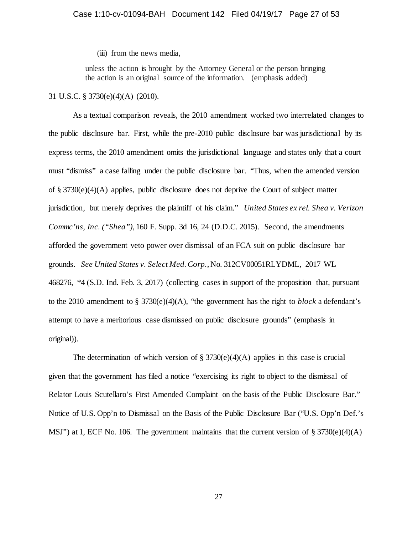(iii) from the news media,

unless the action is brought by the Attorney General or the person bringing the action is an original source of the information. (emphasis added)

### 31 U.S.C. § 3730(e)(4)(A) (2010).

As a textual comparison reveals, the 2010 amendment worked two interrelated changes to the public disclosure bar. First, while the pre-2010 public disclosure bar was jurisdictional by its express terms, the 2010 amendment omits the jurisdictional language and states only that a court must "dismiss" a case falling under the public disclosure bar. "Thus, when the amended version of § 3730(e)(4)(A) applies, public disclosure does not deprive the Court of subject matter jurisdiction, but merely deprives the plaintiff of his claim." *United States ex rel. Shea v. Verizon Commc'ns, Inc. ("Shea")*, 160 F. Supp. 3d 16, 24 (D.D.C. 2015). Second, the amendments afforded the government veto power over dismissal of an FCA suit on public disclosure bar grounds. *See United States v. Select Med. Corp.*, No. 312CV00051RLYDML, 2017 WL 468276, \*4 (S.D. Ind. Feb. 3, 2017) (collecting cases in support of the proposition that, pursuant to the 2010 amendment to § 3730(e)(4)(A), "the government has the right to *block* a defendant's attempt to have a meritorious case dismissed on public disclosure grounds" (emphasis in original)).

The determination of which version of  $\S 3730(e)(4)(A)$  applies in this case is crucial given that the government has filed a notice "exercising its right to object to the dismissal of Relator Louis Scutellaro's First Amended Complaint on the basis of the Public Disclosure Bar." Notice of U.S. Opp'n to Dismissal on the Basis of the Public Disclosure Bar ("U.S. Opp'n Def.'s MSJ") at 1, ECF No. 106. The government maintains that the current version of  $\S 3730(e)(4)(A)$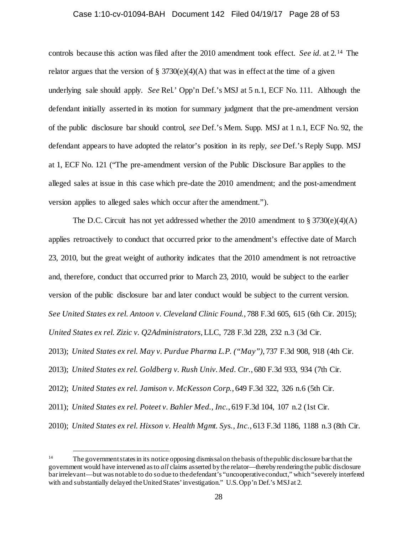#### Case 1:10-cv-01094-BAH Document 142 Filed 04/19/17 Page 28 of 53

controls because this action was filed after the 2010 amendment took effect. *See id.* at 2.14 The relator argues that the version of  $\S 3730(e)(4)(A)$  that was in effect at the time of a given underlying sale should apply. *See* Rel.' Opp'n Def.'s MSJ at 5 n.1, ECF No. 111. Although the defendant initially asserted in its motion for summary judgment that the pre-amendment version of the public disclosure bar should control, *see* Def.'s Mem. Supp. MSJ at 1 n.1, ECF No. 92, the defendant appears to have adopted the relator's position in its reply, *see* Def.'s Reply Supp. MSJ at 1, ECF No. 121 ("The pre-amendment version of the Public Disclosure Bar applies to the alleged sales at issue in this case which pre-date the 2010 amendment; and the post-amendment version applies to alleged sales which occur after the amendment.").

The D.C. Circuit has not yet addressed whether the 2010 amendment to  $\S 3730(e)(4)(A)$ applies retroactively to conduct that occurred prior to the amendment's effective date of March 23, 2010, but the great weight of authority indicates that the 2010 amendment is not retroactive and, therefore, conduct that occurred prior to March 23, 2010, would be subject to the earlier version of the public disclosure bar and later conduct would be subject to the current version. *See United States ex rel. Antoon v. Cleveland Clinic Found.*, 788 F.3d 605, 615 (6th Cir. 2015); *United States ex rel. Zizic v. Q2Administrators*, LLC, 728 F.3d 228, 232 n.3 (3d Cir. 2013); *United States ex rel. May v. Purdue Pharma L.P. ("May")*, 737 F.3d 908, 918 (4th Cir. 2013); *United States ex rel. Goldberg v. Rush Univ. Med. Ctr.*, 680 F.3d 933, 934 (7th Cir. 2012); *United States ex rel. Jamison v. McKesson Corp.*, 649 F.3d 322, 326 n.6 (5th Cir. 2011); *United States ex rel. Poteet v. Bahler Med., Inc.*, 619 F.3d 104, 107 n.2 (1st Cir. 2010); *United States ex rel. Hixson v. Health Mgmt. Sys., Inc.*, 613 F.3d 1186, 1188 n.3 (8th Cir.

<sup>&</sup>lt;sup>14</sup> The government states in its notice opposing dismissal on the basis of the public disclosure bar that the government would have intervened as to *all* claims asserted by the relator—thereby rendering the public disclosure bar irrelevant—but was not able to do so due to the defendant's "uncooperative conduct," which "severely interfered with and substantially delayed the United States' investigation." U.S. Opp'n Def.'s MSJ at 2.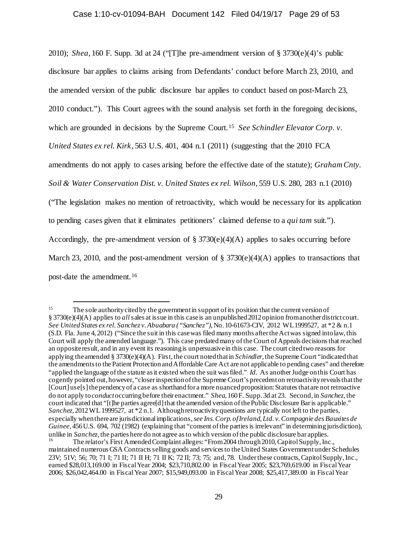2010); *Shea*, 160 F. Supp. 3d at 24 ("[T]he pre-amendment version of § 3730(e)(4)'s public disclosure bar applies to claims arising from Defendants' conduct before March 23, 2010, and the amended version of the public disclosure bar applies to conduct based on post-March 23, 2010 conduct."). This Court agrees with the sound analysis set forth in the foregoing decisions, which are grounded in decisions by the Supreme Court.<sup>15</sup> *See Schindler Elevator Corp. v. United States ex rel. Kirk*, 563 U.S. 401, 404 n.1 (2011) (suggesting that the 2010 FCA amendments do not apply to cases arising before the effective date of the statute); *Graham Cnty. Soil & Water Conservation Dist. v. United States ex rel. Wilson*, 559 U.S. 280, 283 n.1 (2010) ("The legislation makes no mention of retroactivity, which would be necessary for its application to pending cases given that it eliminates petitioners' claimed defense to a *qui tam* suit."). Accordingly, the pre-amendment version of  $\S 3730(e)(4)(A)$  applies to sales occurring before March 23, 2010, and the post-amendment version of § 3730(e)(4)(A) applies to transactions that post-date the amendment.16

<sup>&</sup>lt;sup>15</sup> The sole authority cited by the government in support of its position that the current version of § 3730(e)(4)(A) applies to *all*sales at issue in this case is an unpublished 2012 opinion from another district court. *See United States ex rel. Sanchez v. Abuabara ("Sanchez")*, No. 10-61673-CIV, 2012 WL 1999527, at \*2 & n.1 (S.D. Fla. June 4, 2012) ("Since the suit in this case was filed many months after the Act was signed into law, this Court will apply the amended language."). This case predated many of the Court of Appeals decisions that reached an opposite result, and in any event its reasoning is unpersuasive in this case. The court cited two reasons for applying the amended § 3730(e)(4)(A). First, the court noted that in *Schindler*, the Supreme Court "indicated that the amendments to the Patient Protection and Affordable Care Act are not applicable to pending cases" and therefore "applied the language of the statute as it existed when the suit was filed." *Id.* As another Judge on this Court has cogently pointed out, however, "closer inspection of the Supreme Court's precedent on retroactivity reveals that the [Court] use[s] the pendency of a case as shorthand for a more nuanced proposition: Statutes that are not retroactive do not apply to *conduct* occurring before their enactment." *Shea*, 160 F. Supp. 3d at 23. Second, in *Sanchez*, the court indicated that "[t]he parties agree[d]that the amended version of the Public Disclosure Bar is applicable." *Sanchez*, 2012 WL 1999527, at \*2 n.1. Although retroactivity questions are typically not left to the parties, especially when there are jurisdictional implications, *see Ins. Corp. of Ireland, Ltd. v. Compagnie des Bauxites de Guinee*, 456 U.S. 694, 702 (1982) (explaining that "consent of the parties is irrelevant" in determining jurisdiction), unlike in *Sanchez*, the parties here do not agree as to which version of the public disclosure bar a

The relator's First Amended Complaint alleges: "From 2004 through 2010, Capitol Supply, Inc., maintained numerous GSA Contracts selling goods and services to the United States Government under Schedules 23V; 51V; 56; 70; 71 I; 71 II; 71 II H; 71 II K; 72 II; 73; 75; and, 78. Under these contracts, Capitol Supply, Inc., earned \$28,013,169.00 in Fiscal Year 2004; \$23,710,802.00 in Fiscal Year 2005; \$23,769,619.00 in Fiscal Year 2006; \$26,042,464.00 in Fiscal Year 2007; \$15,949,093.00 in Fiscal Year 2008; \$25,417,389.00 in Fiscal Year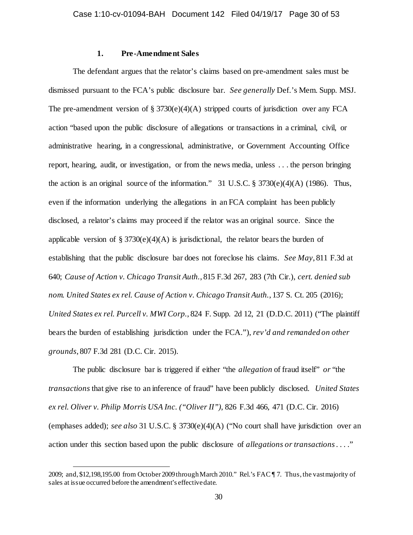# **1. Pre-Amendment Sales**

The defendant argues that the relator's claims based on pre-amendment sales must be dismissed pursuant to the FCA's public disclosure bar. *See generally* Def.'s Mem. Supp. MSJ. The pre-amendment version of § 3730(e)(4)(A) stripped courts of jurisdiction over any FCA action "based upon the public disclosure of allegations or transactions in a criminal, civil, or administrative hearing, in a congressional, administrative, or Government Accounting Office report, hearing, audit, or investigation, or from the news media, unless . . . the person bringing the action is an original source of the information." 31 U.S.C.  $\S 3730(e)(4)(A)$  (1986). Thus, even if the information underlying the allegations in an FCA complaint has been publicly disclosed, a relator's claims may proceed if the relator was an original source. Since the applicable version of § 3730(e)(4)(A) is jurisdictional, the relator bears the burden of establishing that the public disclosure bar does not foreclose his claims. *See May*, 811 F.3d at 640; *Cause of Action v. Chicago Transit Auth.*, 815 F.3d 267, 283 (7th Cir.), *cert. denied sub nom. United States ex rel. Cause of Action v. Chicago Transit Auth.*, 137 S. Ct. 205 (2016); *United States ex rel. Purcell v. MWI Corp.*, 824 F. Supp. 2d 12, 21 (D.D.C. 2011) ("The plaintiff bears the burden of establishing jurisdiction under the FCA."), *rev'd and remanded on other grounds*, 807 F.3d 281 (D.C. Cir. 2015).

The public disclosure bar is triggered if either "the *allegation* of fraud itself" *or* "the *transactions* that give rise to an inference of fraud" have been publicly disclosed. *United States ex rel. Oliver v. Philip Morris USA Inc. ("Oliver II")*, 826 F.3d 466, 471 (D.C. Cir. 2016) (emphases added); *see also* 31 U.S.C. § 3730(e)(4)(A) ("No court shall have jurisdiction over an action under this section based upon the public disclosure of *allegations or transactions*. . . ."

l

<sup>2009;</sup> and, \$12,198,195.00 from October 2009 throughMarch 2010." Rel.'s FAC ¶ 7. Thus, the vast majority of sales at issue occurred before the amendment's effective date.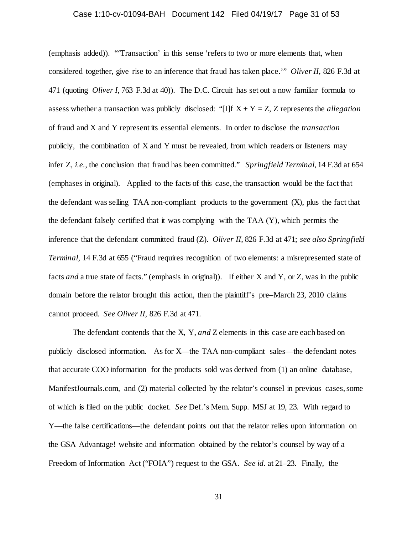# Case 1:10-cv-01094-BAH Document 142 Filed 04/19/17 Page 31 of 53

(emphasis added)). "'Transaction' in this sense 'refers to two or more elements that, when considered together, give rise to an inference that fraud has taken place.'" *Oliver II*, 826 F.3d at 471 (quoting *Oliver I*, 763 F.3d at 40)). The D.C. Circuit has set out a now familiar formula to assess whether a transaction was publicly disclosed: "[I]f  $X + Y = Z$ , Z represents the *allegation* of fraud and X and Y represent its essential elements. In order to disclose the *transaction* publicly, the combination of X and Y must be revealed, from which readers or listeners may infer Z, *i.e.*, the conclusion that fraud has been committed." *Springfield Terminal*, 14 F.3d at 654 (emphases in original). Applied to the facts of this case, the transaction would be the fact that the defendant was selling  $TAA$  non-compliant products to the government  $(X)$ , plus the fact that the defendant falsely certified that it was complying with the TAA (Y), which permits the inference that the defendant committed fraud (Z). *Oliver II*, 826 F.3d at 471; *see also Springfield Terminal*, 14 F.3d at 655 ("Fraud requires recognition of two elements: a misrepresented state of facts *and* a true state of facts." (emphasis in original)). If either X and Y, or Z, was in the public domain before the relator brought this action, then the plaintiff's pre–March 23, 2010 claims cannot proceed. *See Oliver II*, 826 F.3d at 471.

The defendant contends that the X, Y, *and* Z elements in this case are each based on publicly disclosed information. As for X—the TAA non-compliant sales—the defendant notes that accurate COO information for the products sold was derived from (1) an online database, ManifestJournals.com, and (2) material collected by the relator's counsel in previous cases, some of which is filed on the public docket. *See* Def.'s Mem. Supp. MSJ at 19, 23. With regard to Y—the false certifications—the defendant points out that the relator relies upon information on the GSA Advantage! website and information obtained by the relator's counsel by way of a Freedom of Information Act ("FOIA") request to the GSA. *See id.* at 21–23. Finally, the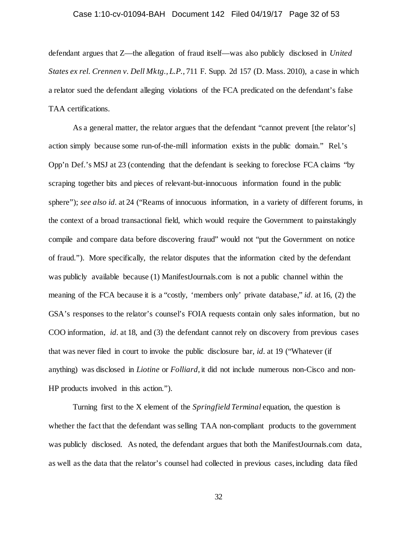#### Case 1:10-cv-01094-BAH Document 142 Filed 04/19/17 Page 32 of 53

defendant argues that Z—the allegation of fraud itself—was also publicly disclosed in *United States ex rel. Crennen v. Dell Mktg., L.P.*, 711 F. Supp. 2d 157 (D. Mass. 2010), a case in which a relator sued the defendant alleging violations of the FCA predicated on the defendant's false TAA certifications.

As a general matter, the relator argues that the defendant "cannot prevent [the relator's] action simply because some run-of-the-mill information exists in the public domain." Rel.'s Opp'n Def.'s MSJ at 23 (contending that the defendant is seeking to foreclose FCA claims "by scraping together bits and pieces of relevant-but-innocuous information found in the public sphere"); *see also id.* at 24 ("Reams of innocuous information, in a variety of different forums, in the context of a broad transactional field, which would require the Government to painstakingly compile and compare data before discovering fraud" would not "put the Government on notice of fraud."). More specifically, the relator disputes that the information cited by the defendant was publicly available because (1) ManifestJournals.com is not a public channel within the meaning of the FCA because it is a "costly, 'members only' private database," *id.* at 16, (2) the GSA's responses to the relator's counsel's FOIA requests contain only sales information, but no COO information, *id.* at 18, and (3) the defendant cannot rely on discovery from previous cases that was never filed in court to invoke the public disclosure bar, *id.* at 19 ("Whatever (if anything) was disclosed in *Liotine* or *Folliard*, it did not include numerous non-Cisco and non-HP products involved in this action.").

Turning first to the X element of the *Springfield Terminal* equation, the question is whether the fact that the defendant was selling TAA non-compliant products to the government was publicly disclosed. As noted, the defendant argues that both the ManifestJournals.com data, as well as the data that the relator's counsel had collected in previous cases, including data filed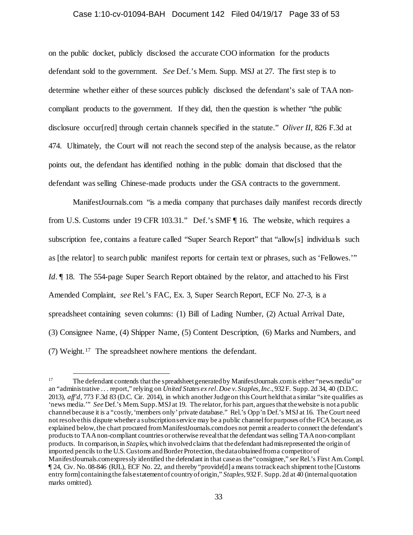#### Case 1:10-cv-01094-BAH Document 142 Filed 04/19/17 Page 33 of 53

on the public docket, publicly disclosed the accurate COO information for the products defendant sold to the government. *See* Def.'s Mem. Supp. MSJ at 27. The first step is to determine whether either of these sources publicly disclosed the defendant's sale of TAA noncompliant products to the government. If they did, then the question is whether "the public disclosure occur[red] through certain channels specified in the statute." *Oliver II*, 826 F.3d at 474. Ultimately, the Court will not reach the second step of the analysis because, as the relator points out, the defendant has identified nothing in the public domain that disclosed that the defendant was selling Chinese-made products under the GSA contracts to the government.

ManifestJournals.com "is a media company that purchases daily manifest records directly from U.S. Customs under 19 CFR 103.31." Def.'s SMF ¶ 16. The website, which requires a subscription fee, contains a feature called "Super Search Report" that "allow[s] individuals such as [the relator] to search public manifest reports for certain text or phrases, such as 'Fellowes.'" *Id.*  $\parallel$  18. The 554-page Super Search Report obtained by the relator, and attached to his First Amended Complaint, *see* Rel.'s FAC, Ex. 3, Super Search Report, ECF No. 27-3, is a spreadsheet containing seven columns: (1) Bill of Lading Number, (2) Actual Arrival Date, (3) Consignee Name, (4) Shipper Name, (5) Content Description, (6) Marks and Numbers, and (7) Weight.17 The spreadsheet nowhere mentions the defendant.

<sup>&</sup>lt;sup>17</sup> The defendant contends that the spreadsheet generated by Manifest Journals.com is either "news media" or an "administrative . . . report," relying on *United States ex rel. Doe v. Staples, Inc.*, 932 F. Supp. 2d 34, 40 (D.D.C. 2013), *aff'd*, 773 F.3d 83 (D.C. Cir. 2014), in which another Judge on this Court held that a similar "site qualifies as 'news media.'" *See* Def.'s Mem. Supp. MSJ at 19. The relator, for his part, argues that the website is not a public channel because it is a "costly, 'members only' private database." Rel.'s Opp'n Def.'s MSJ at 16. The Court need not resolve this dispute whether a subscription service may be a public channel for purposes of the FCA because, as explained below, the chart procured from ManifestJournals.com does not permit a reader to connect the defendant's products to TAA non-compliant countries or otherwise reveal that the defendant was selling TAA non-compliant products. In comparison, in *Staples*, which involved claims that the defendant had misrepresented the origin of imported pencils to the U.S. Customs and Border Protection, the data obtained from a competitor of ManifestJournals.com expressly identified the defendant in that case as the "consignee," *see* Rel.'s First Am. Compl. ¶ 24, Civ. No. 08-846 (RJL), ECF No. 22, and thereby "provide[d] a means to track each shipment to the [Customs entry form] containing the false statement of country of origin," *Staples*, 932 F. Supp. 2d at 40 (internal quotation marks omitted).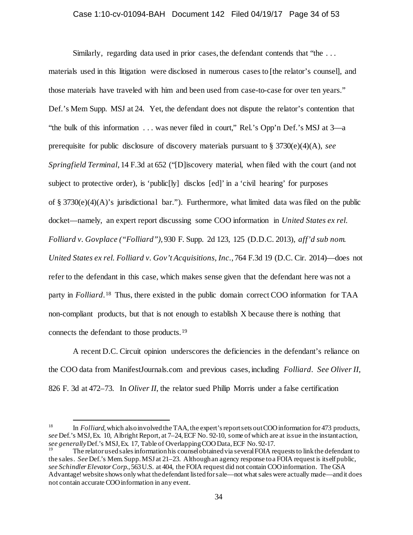#### Case 1:10-cv-01094-BAH Document 142 Filed 04/19/17 Page 34 of 53

Similarly, regarding data used in prior cases, the defendant contends that "the . . . materials used in this litigation were disclosed in numerous cases to [the relator's counsel], and those materials have traveled with him and been used from case-to-case for over ten years." Def.'s Mem Supp. MSJ at 24. Yet, the defendant does not dispute the relator's contention that "the bulk of this information . . . was never filed in court," Rel.'s Opp'n Def.'s MSJ at 3—a prerequisite for public disclosure of discovery materials pursuant to § 3730(e)(4)(A), *see Springfield Terminal*, 14 F.3d at 652 ("[D]iscovery material, when filed with the court (and not subject to protective order), is 'public[ly] disclos [ed]' in a 'civil hearing' for purposes of § 3730(e)(4)(A)'s jurisdictional bar."). Furthermore, what limited data was filed on the public docket—namely, an expert report discussing some COO information in *United States ex rel. Folliard v. Govplace ("Folliard")*, 930 F. Supp. 2d 123, 125 (D.D.C. 2013), *aff'd sub nom. United States ex rel. Folliard v. Gov't Acquisitions, Inc.*, 764 F.3d 19 (D.C. Cir. 2014)—does not refer to the defendant in this case, which makes sense given that the defendant here was not a party in *Folliard*.18 Thus, there existed in the public domain correct COO information for TAA non-compliant products, but that is not enough to establish X because there is nothing that connects the defendant to those products.19

A recent D.C. Circuit opinion underscores the deficiencies in the defendant's reliance on the COO data from ManifestJournals.com and previous cases, including *Folliard*. *See Oliver II*, 826 F. 3d at 472–73. In *Oliver II*, the relator sued Philip Morris under a false certification

<sup>&</sup>lt;sup>18</sup> In *Folliard*, which also involved the TAA, the expert's report sets out COO information for 473 products, *see* Def.'s MSJ, Ex. 10, Albright Report, at 7–24, ECF No. 92-10, some of which are at issue in the instant action, *see generally* Def.'s MSJ, Ex. 17, Table of Overlapping COO Data, ECF No. 92-17.<br><sup>19</sup> The relator used sales information his counsel obtained via several FOIA requests to link the defendant to

the sales. *See* Def.'s Mem. Supp. MSJ at 21–23. Although an agency response to a FOIA request is itself public, *see Schindler Elevator Corp.*, 563 U.S. at 404, the FOIA request did not contain COO information. The GSA Advantage! website shows only what the defendant listed for sale—not what sales were actually made—and it does not contain accurate COO information in any event.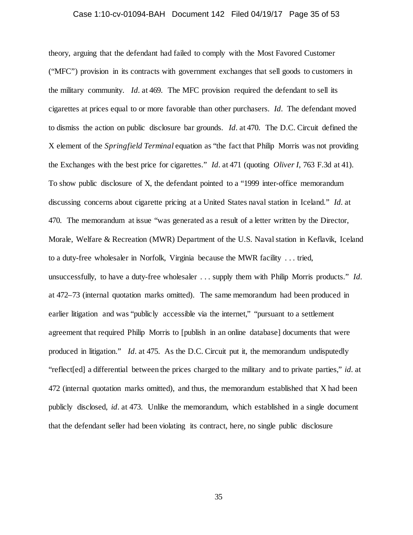# Case 1:10-cv-01094-BAH Document 142 Filed 04/19/17 Page 35 of 53

theory, arguing that the defendant had failed to comply with the Most Favored Customer ("MFC") provision in its contracts with government exchanges that sell goods to customers in the military community. *Id.* at 469. The MFC provision required the defendant to sell its cigarettes at prices equal to or more favorable than other purchasers. *Id.* The defendant moved to dismiss the action on public disclosure bar grounds. *Id.* at 470. The D.C. Circuit defined the X element of the *Springfield Terminal* equation as "the fact that Philip Morris was not providing the Exchanges with the best price for cigarettes." *Id.* at 471 (quoting *Oliver I*, 763 F.3d at 41). To show public disclosure of X, the defendant pointed to a "1999 inter-office memorandum discussing concerns about cigarette pricing at a United States naval station in Iceland." *Id.* at 470. The memorandum at issue "was generated as a result of a letter written by the Director, Morale, Welfare & Recreation (MWR) Department of the U.S. Naval station in Keflavik, Iceland to a duty-free wholesaler in Norfolk, Virginia because the MWR facility . . . tried, unsuccessfully, to have a duty-free wholesaler . . . supply them with Philip Morris products." *Id.* at 472–73 (internal quotation marks omitted). The same memorandum had been produced in earlier litigation and was "publicly accessible via the internet," "pursuant to a settlement agreement that required Philip Morris to [publish in an online database] documents that were produced in litigation." *Id.* at 475. As the D.C. Circuit put it, the memorandum undisputedly "reflect[ed] a differential between the prices charged to the military and to private parties," *id.* at 472 (internal quotation marks omitted), and thus, the memorandum established that X had been publicly disclosed, *id.* at 473. Unlike the memorandum, which established in a single document that the defendant seller had been violating its contract, here, no single public disclosure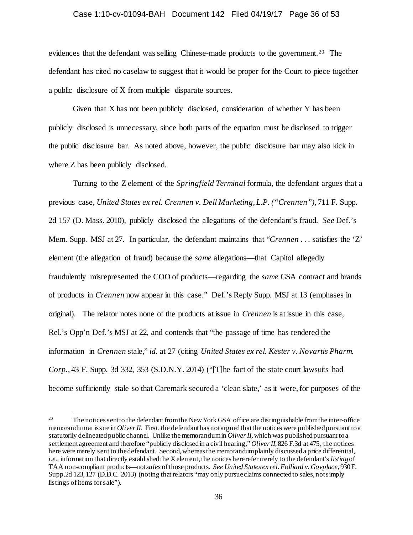### Case 1:10-cv-01094-BAH Document 142 Filed 04/19/17 Page 36 of 53

evidences that the defendant was selling Chinese-made products to the government.<sup>20</sup> The defendant has cited no caselaw to suggest that it would be proper for the Court to piece together a public disclosure of X from multiple disparate sources.

Given that X has not been publicly disclosed, consideration of whether Y has been publicly disclosed is unnecessary, since both parts of the equation must be disclosed to trigger the public disclosure bar. As noted above, however, the public disclosure bar may also kick in where Z has been publicly disclosed.

Turning to the Z element of the *Springfield Terminal* formula, the defendant argues that a previous case, *United States ex rel. Crennen v. Dell Marketing, L.P. ("Crennen")*, 711 F. Supp. 2d 157 (D. Mass. 2010), publicly disclosed the allegations of the defendant's fraud. *See* Def.'s Mem. Supp. MSJ at 27. In particular, the defendant maintains that "*Crennen* . . . satisfies the 'Z' element (the allegation of fraud) because the *same* allegations—that Capitol allegedly fraudulently misrepresented the COO of products—regarding the *same* GSA contract and brands of products in *Crennen* now appear in this case." Def.'s Reply Supp. MSJ at 13 (emphases in original). The relator notes none of the products at issue in *Crennen* is at issue in this case, Rel.'s Opp'n Def.'s MSJ at 22, and contends that "the passage of time has rendered the information in *Crennen* stale," *id.* at 27 (citing *United States ex rel. Kester v. Novartis Pharm. Corp.*, 43 F. Supp. 3d 332, 353 (S.D.N.Y. 2014) ("[T]he fact of the state court lawsuits had become sufficiently stale so that Caremark secured a 'clean slate,' as it were, for purposes of the

<sup>&</sup>lt;sup>20</sup> The notices sent to the defendant from the New York GSA office are distinguishable from the inter-office memorandum at issue in *OliverII*. First, the defendant has not argued that the notices were published pursuant to a statutorily delineated public channel. Unlike the memorandum in *Oliver II*, which was published pursuant to a settlement agreement and therefore "publicly disclosed in a civil hearing," *Oliver II*, 826 F.3d at 475, the notices here were merely sent to the defendant. Second, whereas the memorandum plainly discussed a price differential, *i.e.*, information that directly established the X element, the notices here refer merely to the defendant's *listing*of TAA non-compliant products—not *sales* of those products. *See United States ex rel. Folliard v. Govplace*, 930 F. Supp.2d 123, 127 (D.D.C. 2013) (noting that relators "may only pursue claims connected to sales, not simply listings of items for sale").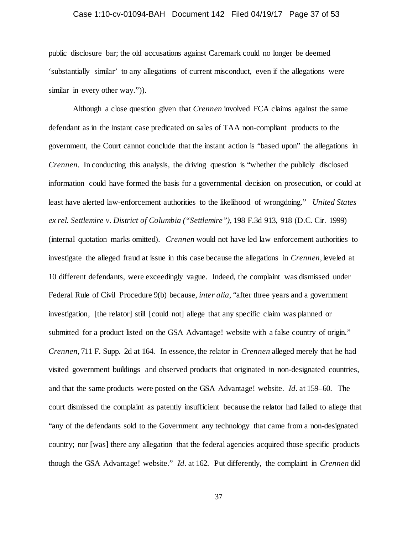#### Case 1:10-cv-01094-BAH Document 142 Filed 04/19/17 Page 37 of 53

public disclosure bar; the old accusations against Caremark could no longer be deemed 'substantially similar' to any allegations of current misconduct, even if the allegations were similar in every other way.").

Although a close question given that *Crennen* involved FCA claims against the same defendant as in the instant case predicated on sales of TAA non-compliant products to the government, the Court cannot conclude that the instant action is "based upon" the allegations in *Crennen*. In conducting this analysis, the driving question is "whether the publicly disclosed information could have formed the basis for a governmental decision on prosecution, or could at least have alerted law-enforcement authorities to the likelihood of wrongdoing." *United States ex rel. Settlemire v. District of Columbia ("Settlemire")*, 198 F.3d 913, 918 (D.C. Cir. 1999) (internal quotation marks omitted). *Crennen* would not have led law enforcement authorities to investigate the alleged fraud at issue in this case because the allegations in *Crennen*, leveled at 10 different defendants, were exceedingly vague. Indeed, the complaint was dismissed under Federal Rule of Civil Procedure 9(b) because, *inter alia*, "after three years and a government investigation, [the relator] still [could not] allege that any specific claim was planned or submitted for a product listed on the GSA Advantage! website with a false country of origin." *Crennen*, 711 F. Supp. 2d at 164. In essence, the relator in *Crennen* alleged merely that he had visited government buildings and observed products that originated in non-designated countries, and that the same products were posted on the GSA Advantage! website. *Id.* at 159–60. The court dismissed the complaint as patently insufficient because the relator had failed to allege that "any of the defendants sold to the Government any technology that came from a non-designated country; nor [was] there any allegation that the federal agencies acquired those specific products though the GSA Advantage! website." *Id.* at 162. Put differently, the complaint in *Crennen* did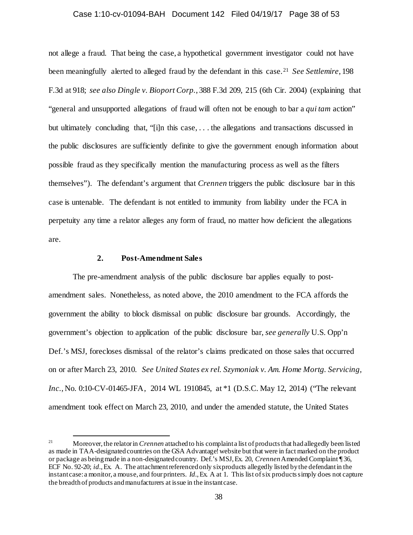#### Case 1:10-cv-01094-BAH Document 142 Filed 04/19/17 Page 38 of 53

not allege a fraud. That being the case, a hypothetical government investigator could not have been meaningfully alerted to alleged fraud by the defendant in this case.21 *See Settlemire*, 198 F.3d at 918; *see also Dingle v. Bioport Corp.*, 388 F.3d 209, 215 (6th Cir. 2004) (explaining that "general and unsupported allegations of fraud will often not be enough to bar a *qui tam* action" but ultimately concluding that, "[i]n this case, . . . the allegations and transactions discussed in the public disclosures are sufficiently definite to give the government enough information about possible fraud as they specifically mention the manufacturing process as well as the filters themselves"). The defendant's argument that *Crennen* triggers the public disclosure bar in this case is untenable. The defendant is not entitled to immunity from liability under the FCA in perpetuity any time a relator alleges any form of fraud, no matter how deficient the allegations are.

### **2. Post-Amendment Sales**

The pre-amendment analysis of the public disclosure bar applies equally to postamendment sales. Nonetheless, as noted above, the 2010 amendment to the FCA affords the government the ability to block dismissal on public disclosure bar grounds. Accordingly, the government's objection to application of the public disclosure bar, *see generally* U.S. Opp'n Def.'s MSJ, forecloses dismissal of the relator's claims predicated on those sales that occurred on or after March 23, 2010. *See United States ex rel. Szymoniak v. Am. Home Mortg. Servicing, Inc.*, No. 0:10-CV-01465-JFA, 2014 WL 1910845, at \*1 (D.S.C. May 12, 2014) ("The relevant amendment took effect on March 23, 2010, and under the amended statute, the United States

<sup>&</sup>lt;sup>21</sup> Moreover, the relator in *Crennen* attached to his complaint a list of products that had allegedly been listed as made in TAA-designated countries on the GSA Advantage! website but that were in fact marked on the product or package as being made in a non-designatedcountry. Def.'s MSJ, Ex. 20, *Crennen* Amended Complaint ¶ 36, ECF No. 92-20; *id.*, Ex. A. The attachment referenced only six products allegedly listed by the defendant in the instant case: a monitor, a mouse, and four printers. *Id.*, Ex. A at 1. This list of six products simply does not capture the breadth of products and manufacturers at issue in the instant case.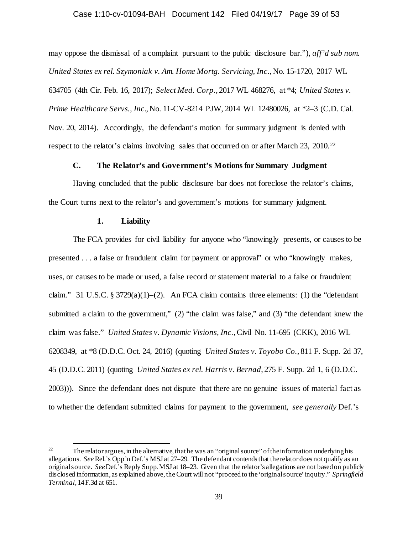### Case 1:10-cv-01094-BAH Document 142 Filed 04/19/17 Page 39 of 53

may oppose the dismissal of a complaint pursuant to the public disclosure bar."), *aff'd sub nom. United States ex rel. Szymoniak v. Am. Home Mortg. Servicing, Inc*., No. 15-1720, 2017 WL 634705 (4th Cir. Feb. 16, 2017); *Select Med. Corp.*, 2017 WL 468276, at \*4; *United States v. Prime Healthcare Servs., Inc.*, No. 11-CV-8214 PJW, 2014 WL 12480026, at \*2–3 (C.D. Cal. Nov. 20, 2014). Accordingly, the defendant's motion for summary judgment is denied with respect to the relator's claims involving sales that occurred on or after March 23, 2010.<sup>22</sup>

# **C. The Relator's and Government's Motions for Summary Judgment**

Having concluded that the public disclosure bar does not foreclose the relator's claims, the Court turns next to the relator's and government's motions for summary judgment.

### **1. Liability**

The FCA provides for civil liability for anyone who "knowingly presents, or causes to be presented . . . a false or fraudulent claim for payment or approval" or who "knowingly makes, uses, or causes to be made or used, a false record or statement material to a false or fraudulent claim." 31 U.S.C. § 3729(a)(1)–(2). An FCA claim contains three elements: (1) the "defendant submitted a claim to the government," (2) "the claim was false," and (3) "the defendant knew the claim was false." *United States v. Dynamic Visions, Inc.*, Civil No. 11-695 (CKK), 2016 WL 6208349, at \*8 (D.D.C. Oct. 24, 2016) (quoting *United States v. Toyobo Co.*, 811 F. Supp. 2d 37, 45 (D.D.C. 2011) (quoting *United States ex rel. Harris v. Bernad*, 275 F. Supp. 2d 1, 6 (D.D.C. 2003))). Since the defendant does not dispute that there are no genuine issues of material fact as to whether the defendant submitted claims for payment to the government, *see generally* Def.'s

<sup>&</sup>lt;sup>22</sup> The relator argues, in the alternative, that he was an "original source" of the information underlying his allegations. *See* Rel.'s Opp'n Def.'s MSJ at 27–29. The defendant contends that the relator does not qualify as an original source. *See* Def.'s Reply Supp. MSJ at 18–23. Given that the relator's allegations are not based on publicly disclosed information, as explained above, the Court will not "proceed to the 'original source' inquiry." *Springfield Terminal*, 14 F.3d at 651.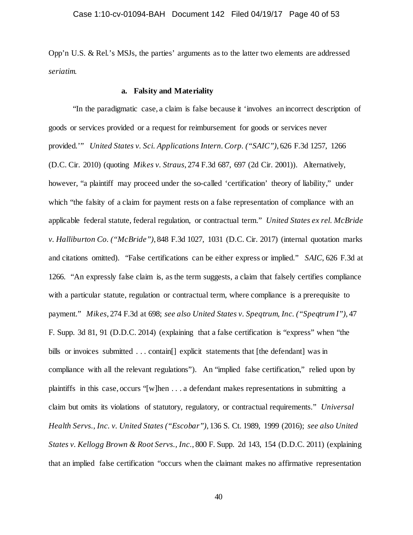Opp'n U.S. & Rel.'s MSJs, the parties' arguments as to the latter two elements are addressed *seriatim.*

### **a. Falsity and Materiality**

"In the paradigmatic case, a claim is false because it 'involves an incorrect description of goods or services provided or a request for reimbursement for goods or services never provided.'" *United States v. Sci. Applications Intern. Corp. ("SAIC")*, 626 F.3d 1257, 1266 (D.C. Cir. 2010) (quoting *Mikes v. Straus*, 274 F.3d 687, 697 (2d Cir. 2001)). Alternatively, however, "a plaintiff may proceed under the so-called 'certification' theory of liability," under which "the falsity of a claim for payment rests on a false representation of compliance with an applicable federal statute, federal regulation, or contractual term." *United States ex rel. McBride v. Halliburton Co. ("McBride")*, 848 F.3d 1027, 1031 (D.C. Cir. 2017) (internal quotation marks and citations omitted). "False certifications can be either express or implied." *SAIC*, 626 F.3d at 1266. "An expressly false claim is, as the term suggests, a claim that falsely certifies compliance with a particular statute, regulation or contractual term, where compliance is a prerequisite to payment." *Mikes*, 274 F.3d at 698; *see also United States v. Speqtrum, Inc. ("Speqtrum I")*, 47 F. Supp. 3d 81, 91 (D.D.C. 2014) (explaining that a false certification is "express" when "the bills or invoices submitted ... contain<sup>[]</sup> explicit statements that [the defendant] was in compliance with all the relevant regulations"). An "implied false certification," relied upon by plaintiffs in this case, occurs "[w]hen . . . a defendant makes representations in submitting a claim but omits its violations of statutory, regulatory, or contractual requirements." *Universal Health Servs., Inc. v. United States ("Escobar")*, 136 S. Ct. 1989, 1999 (2016); *see also United States v. Kellogg Brown & Root Servs., Inc.*, 800 F. Supp. 2d 143, 154 (D.D.C. 2011) (explaining that an implied false certification "occurs when the claimant makes no affirmative representation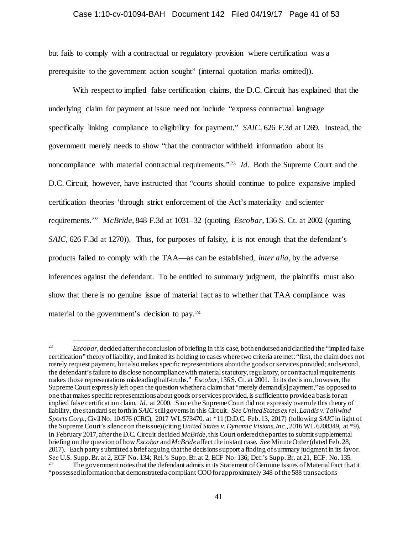#### Case 1:10-cv-01094-BAH Document 142 Filed 04/19/17 Page 41 of 53

but fails to comply with a contractual or regulatory provision where certification was a prerequisite to the government action sought" (internal quotation marks omitted)).

With respect to implied false certification claims, the D.C. Circuit has explained that the underlying claim for payment at issue need not include "express contractual language specifically linking compliance to eligibility for payment." *SAIC*, 626 F.3d at 1269. Instead, the government merely needs to show "that the contractor withheld information about its noncompliance with material contractual requirements."<sup>23</sup> *Id.* Both the Supreme Court and the D.C. Circuit, however, have instructed that "courts should continue to police expansive implied certification theories 'through strict enforcement of the Act's materiality and scienter requirements.'" *McBride*, 848 F.3d at 1031–32 (quoting *Escobar*, 136 S. Ct. at 2002 (quoting *SAIC*, 626 F.3d at 1270)). Thus, for purposes of falsity, it is not enough that the defendant's products failed to comply with the TAA—as can be established, *inter alia*, by the adverse inferences against the defendant. To be entitled to summary judgment, the plaintiffs must also show that there is no genuine issue of material fact as to whether that TAA compliance was material to the government's decision to pay.24

 <sup>23</sup> *Escobar*, decided after the conclusion of briefing in this case, both endorsed and clarified the "implied false certification" theory of liability, and limited its holding to cases where two criteria are met: "first, the claim does not merely request payment, but also makes specific representations about the goods or services provided; and second, the defendant's failure to disclose noncompliance with material statutory, regulatory, or contractual requirements makes those representations misleading half-truths." *Escobar*, 136 S. Ct. at 2001. In its decision, however, the Supreme Court expressly left open the question whether a claim that "merely demand[s] payment," as opposed to one that makes specific representations about goods or services provided, is sufficient to provide a basis for an implied false certification claim. *Id.* at 2000. Since the Supreme Court did not expressly overrule this theory of liability, the standard set forth in *SAIC* still governs in this Circuit. *See United States ex rel. Landis v. Tailwind Sports Corp.*, Civil No. 10-976 (CRC), 2017 WL 573470, at \*11 (D.D.C. Feb. 13, 2017) (following *SAIC* in light of the Supreme Court's silence on the issue) (citing *United States v. Dynamic Visions, Inc.*, 2016 WL 6208349, at \*9). In February 2017, after the D.C. Circuit decided *McBride*, this Court ordered the parties to submit supplemental briefing on the question of how *Escobar* and *McBride* affect the instant case. *See* Minute Order (dated Feb. 28, 2017). Each party submitted a brief arguing that the decisions support a finding of summary judgment in its favor. See U.S. Supp. Br. at 2, ECF No. 134; Rel.'s Supp. Br. at 2, ECF No. 136; Def.'s Supp. Br. at 21, ECF. No. 135.<br>The government notes that the defendant admits in its Statement of Genuine Issues of Material Fact that it

<sup>&</sup>quot;possessed information that demonstrated a compliant COO for approximately 348 of the 588 transactions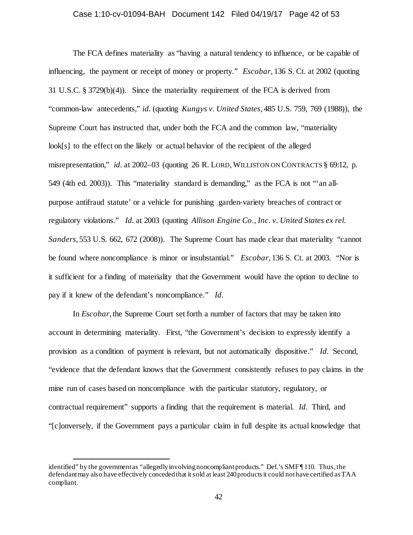### Case 1:10-cv-01094-BAH Document 142 Filed 04/19/17 Page 42 of 53

The FCA defines materiality as "having a natural tendency to influence, or be capable of influencing, the payment or receipt of money or property." *Escobar*, 136 S. Ct. at 2002 (quoting 31 U.S.C. § 3729(b)(4)). Since the materiality requirement of the FCA is derived from "common-law antecedents," *id.* (quoting *Kungys v. United States*, 485 U.S. 759, 769 (1988)), the Supreme Court has instructed that, under both the FCA and the common law, "materiality look[s] to the effect on the likely or actual behavior of the recipient of the alleged misrepresentation," *id.* at 2002–03 (quoting 26 R. LORD, WILLISTON ON CONTRACTS § 69:12, p. 549 (4th ed. 2003)). This "materiality standard is demanding," as the FCA is not "'an allpurpose antifraud statute' or a vehicle for punishing garden-variety breaches of contract or regulatory violations." *Id.* at 2003 (quoting *Allison Engine Co., Inc. v. United States ex rel. Sanders*, 553 U.S. 662, 672 (2008)). The Supreme Court has made clear that materiality "cannot be found where noncompliance is minor or insubstantial." *Escobar*, 136 S. Ct. at 2003. "Nor is it sufficient for a finding of materiality that the Government would have the option to decline to pay if it knew of the defendant's noncompliance." *Id.*

In *Escobar*, the Supreme Court set forth a number of factors that may be taken into account in determining materiality. First, "the Government's decision to expressly identify a provision as a condition of payment is relevant, but not automatically dispositive." *Id.* Second, "evidence that the defendant knows that the Government consistently refuses to pay claims in the mine run of cases based on noncompliance with the particular statutory, regulatory, or contractual requirement" supports a finding that the requirement is material. *Id.* Third, and "[c]onversely, if the Government pays a particular claim in full despite its actual knowledge that

 $\overline{a}$ 

identified" by the government as "allegedly involving noncompliant products." Def.'s SMF ¶ 110. Thus, the defendant may also have effectively conceded that it sold at least 240 products it could not have certified as TAA compliant.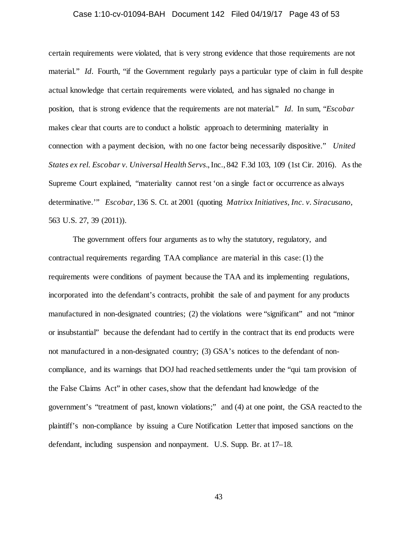### Case 1:10-cv-01094-BAH Document 142 Filed 04/19/17 Page 43 of 53

certain requirements were violated, that is very strong evidence that those requirements are not material." *Id.* Fourth, "if the Government regularly pays a particular type of claim in full despite actual knowledge that certain requirements were violated, and has signaled no change in position, that is strong evidence that the requirements are not material." *Id.* In sum, "*Escobar* makes clear that courts are to conduct a holistic approach to determining materiality in connection with a payment decision, with no one factor being necessarily dispositive." *United States ex rel. Escobar v. Universal Health Servs.*, Inc., 842 F.3d 103, 109 (1st Cir. 2016). As the Supreme Court explained, "materiality cannot rest 'on a single fact or occurrence as always determinative.'" *Escobar*, 136 S. Ct. at 2001 (quoting *Matrixx Initiatives, Inc. v. Siracusano*, 563 U.S. 27, 39 (2011)).

The government offers four arguments as to why the statutory, regulatory, and contractual requirements regarding TAA compliance are material in this case: (1) the requirements were conditions of payment because the TAA and its implementing regulations, incorporated into the defendant's contracts, prohibit the sale of and payment for any products manufactured in non-designated countries; (2) the violations were "significant" and not "minor or insubstantial" because the defendant had to certify in the contract that its end products were not manufactured in a non-designated country; (3) GSA's notices to the defendant of noncompliance, and its warnings that DOJ had reached settlements under the "qui tam provision of the False Claims Act" in other cases, show that the defendant had knowledge of the government's "treatment of past, known violations;" and (4) at one point, the GSA reacted to the plaintiff's non-compliance by issuing a Cure Notification Letter that imposed sanctions on the defendant, including suspension and nonpayment. U.S. Supp. Br. at 17–18.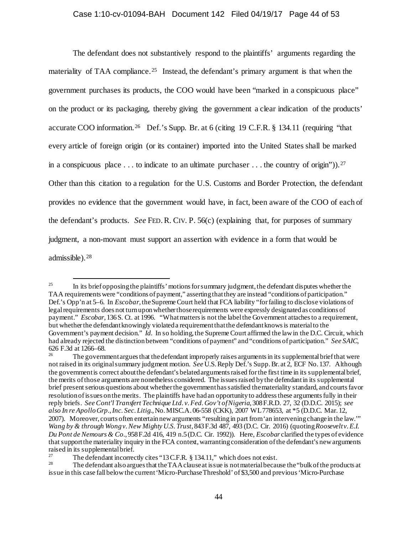The defendant does not substantively respond to the plaintiffs' arguments regarding the materiality of TAA compliance.<sup>25</sup> Instead, the defendant's primary argument is that when the government purchases its products, the COO would have been "marked in a conspicuous place" on the product or its packaging, thereby giving the government a clear indication of the products' accurate COO information. 26 Def.'s Supp. Br. at 6 (citing 19 C.F.R. § 134.11 (requiring "that every article of foreign origin (or its container) imported into the United States shall be marked in a conspicuous place ... to indicate to an ultimate purchaser  $\dots$  the country of origin")).<sup>27</sup> Other than this citation to a regulation for the U.S. Customs and Border Protection, the defendant provides no evidence that the government would have, in fact, been aware of the COO of each of the defendant's products. *See* FED.R. CIV. P. 56(c) (explaining that, for purposes of summary judgment, a non-movant must support an assertion with evidence in a form that would be admissible). 28

<sup>&</sup>lt;sup>25</sup> In its brief opposing the plaintiffs' motions for summary judgment, the defendant disputes whether the TAA requirements were "conditions of payment," asserting that they are instead "conditions of participation." Def.'s Opp'n at 5–6. In *Escobar*, the Supreme Court held that FCA liability "for failing to disclose violations of legal requirements does not turn upon whether those requirements were expressly designated as conditions of payment." *Escobar*, 136 S. Ct. at 1996. "What matters is not the label the Government attaches to a requirement, but whether the defendant knowingly violated a requirement that the defendant knows is material to the Government's payment decision." *Id.* In so holding, the Supreme Court affirmed the law in the D.C. Circuit, which had already rejected the distinction between "conditions of payment" and "conditions of participation." *See SAIC*, 626 F.3d at 1266–68.

<sup>&</sup>lt;sup>26</sup> The government argues that the defendant improperly raises arguments in its supplemental brief that were not raised in its original summary judgment motion. *See* U.S. Reply Def.'s Supp. Br. at 2, ECF No. 137. Although the government is correct about the defendant's belated arguments raised for the first time in its supplemental brief, the merits of those arguments are nonetheless considered. The issues raised by the defendant in its supplemental brief present serious questions about whether the governmenthas satisfied the materiality standard, and courts favor resolution of issues on the merits. The plaintiffs have had an opportunity to address these arguments fully in their reply briefs. *See Cont'l Transfert Technique Ltd. v. Fed. Gov't of Nigeria*, 308F.R.D. 27, 32 (D.D.C. 2015); *see also In re Apollo Grp., Inc. Sec. Litig.*, No. MISC.A. 06-558 (CKK), 2007 WL 778653, at \*5 (D.D.C. Mar. 12, 2007). Moreover, courts often entertain new arguments "resulting in part from 'an intervening change in the law.'" *Wang by & through Wong v. New Mighty U.S. Trust*, 843 F.3d 487, 493 (D.C. Cir. 2016) (quoting *Roosevelt v. E.I. Du Pont de Nemours & Co.*, 958 F.2d 416, 419 n.5 (D.C. Cir. 1992)). Here, *Escobar* clarified the types of evidence that support the materiality inquiry in the FCA context, warranting consideration of the defendant's new arguments raised in its supplemental brief.

<sup>&</sup>lt;sup>27</sup> The defendant incorrectly cites "13 C.F.R. § 134.11," which does not exist.<br><sup>28</sup> The defendant also argues that the TAA clause at issue is not material because the "bulk of the products at issue in this case fall below the current 'Micro-Purchase Threshold' of \$3,500 and previous 'Micro-Purchase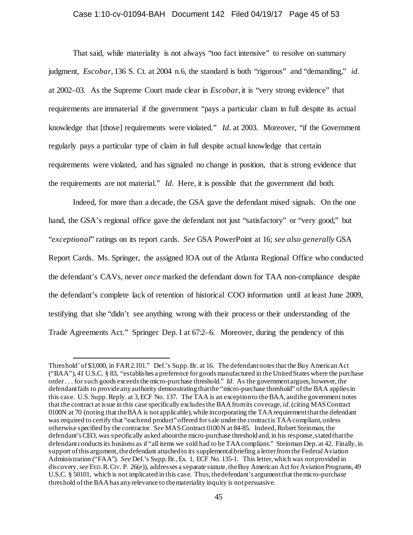### Case 1:10-cv-01094-BAH Document 142 Filed 04/19/17 Page 45 of 53

That said, while materiality is not always "too fact intensive" to resolve on summary judgment, *Escobar*, 136 S. Ct. at 2004 n.6, the standard is both "rigorous" and "demanding," *id.* at 2002–03. As the Supreme Court made clear in *Escobar*, it is "very strong evidence" that requirements are immaterial if the government "pays a particular claim in full despite its actual knowledge that [those] requirements were violated." *Id.* at 2003. Moreover, "if the Government regularly pays a particular type of claim in full despite actual knowledge that certain requirements were violated, and has signaled no change in position, that is strong evidence that the requirements are not material." *Id.* Here, it is possible that the government did both.

Indeed, for more than a decade, the GSA gave the defendant mixed signals. On the one hand, the GSA's regional office gave the defendant not just "satisfactory" or "very good," but "*exceptional*" ratings on its report cards. *See* GSA PowerPoint at 16; *see also generally* GSA Report Cards. Ms. Springer, the assigned IOA out of the Atlanta Regional Office who conducted the defendant's CAVs, never *once* marked the defendant down for TAA non-compliance despite the defendant's complete lack of retention of historical COO information until at least June 2009, testifying that she "didn't see anything wrong with their process or their understanding of the Trade Agreements Act." Springer Dep. I at 67:2–6. Moreover, during the pendency of this

 $\overline{a}$ 

Threshold' of \$3,000, in FAR 2.101." Def.'s Supp. Br. at 16. The defendant notes that the Buy American Act ("BAA"), 41 U.S.C. § 83, "establishes a preference for goods manufactured in the United States where the purchase order . . . for such goods exceeds the micro-purchase threshold." *Id.* As the government argues, however, the defendant fails to provide any authority demonstrating that the "micro-purchase threshold" of the BAA applies in this case. U.S. Supp. Reply. at 3, ECF No. 137. The TAA is an exception to the BAA, and the government notes that the contract at issue in this case specifically excludes the BAA from its coverage, *id.*(citing MAS Contract 0100N at 70 (noting that the BAA is not applicable), while incorporating the TAA requirement that the defendant was required to certify that "each end product" offered for sale under the contract is TAA compliant, unless otherwise specified by the contractor. *See* MAS Contract 0100 N at 84-85. Indeed, Robert Steinman, the defendant's CEO, was specifically asked about the micro-purchase threshold and, in his response, stated that the defendant conducts its business as if "all items we sold had to be TAA compliant." Steinman Dep. at 42. Finally, in support of this argument, the defendant attached to its supplemental briefing a letter from the Federal Aviation Administration ("FAA"). *See* Def.'s Supp. Br., Ex. 1, ECF No. 135-1. This letter, which was not provided in discovery, *see* FED.R.CIV. P. 26(e)), addresses a separate statute, the Buy American Act for Aviation Programs, 49 U.S.C. § 50101, which is not implicated in this case. Thus, the defendant's argument that the micro-purchase threshold of the BAA has any relevance to the materiality inquiry is not persuasive.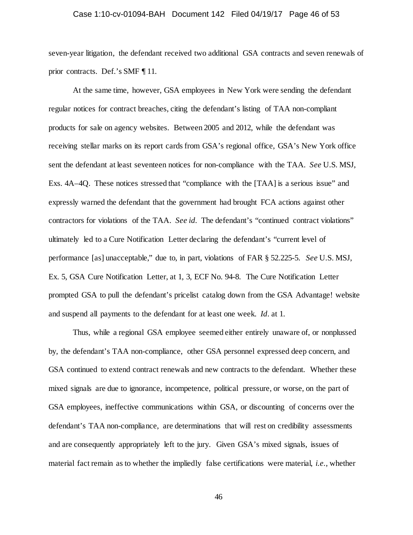### Case 1:10-cv-01094-BAH Document 142 Filed 04/19/17 Page 46 of 53

seven-year litigation, the defendant received two additional GSA contracts and seven renewals of prior contracts. Def.'s SMF ¶ 11.

At the same time, however, GSA employees in New York were sending the defendant regular notices for contract breaches, citing the defendant's listing of TAA non-compliant products for sale on agency websites. Between 2005 and 2012, while the defendant was receiving stellar marks on its report cards from GSA's regional office, GSA's New York office sent the defendant at least seventeen notices for non-compliance with the TAA. *See* U.S. MSJ, Exs. 4A–4Q. These notices stressed that "compliance with the [TAA] is a serious issue" and expressly warned the defendant that the government had brought FCA actions against other contractors for violations of the TAA. *See id.* The defendant's "continued contract violations" ultimately led to a Cure Notification Letter declaring the defendant's "current level of performance [as] unacceptable," due to, in part, violations of FAR § 52.225-5. *See* U.S. MSJ, Ex. 5, GSA Cure Notification Letter, at 1, 3, ECF No. 94-8. The Cure Notification Letter prompted GSA to pull the defendant's pricelist catalog down from the GSA Advantage! website and suspend all payments to the defendant for at least one week. *Id.* at 1.

Thus, while a regional GSA employee seemed either entirely unaware of, or nonplussed by, the defendant's TAA non-compliance, other GSA personnel expressed deep concern, and GSA continued to extend contract renewals and new contracts to the defendant. Whether these mixed signals are due to ignorance, incompetence, political pressure, or worse, on the part of GSA employees, ineffective communications within GSA, or discounting of concerns over the defendant's TAA non-compliance, are determinations that will rest on credibility assessments and are consequently appropriately left to the jury. Given GSA's mixed signals, issues of material fact remain as to whether the impliedly false certifications were material, *i.e.*, whether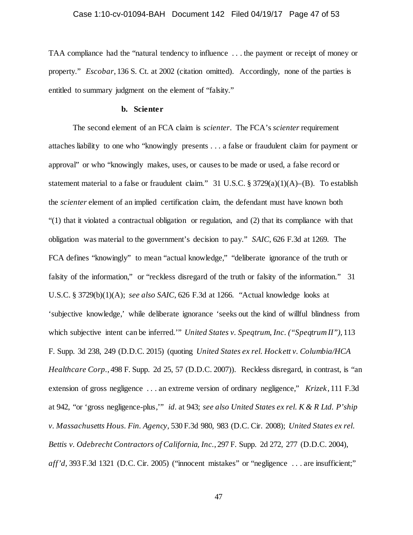TAA compliance had the "natural tendency to influence . . . the payment or receipt of money or property." *Escobar*, 136 S. Ct. at 2002 (citation omitted). Accordingly, none of the parties is entitled to summary judgment on the element of "falsity."

### **b. Scienter**

The second element of an FCA claim is *scienter*. The FCA's *scienter* requirement attaches liability to one who "knowingly presents . . . a false or fraudulent claim for payment or approval" or who "knowingly makes, uses, or causes to be made or used, a false record or statement material to a false or fraudulent claim." 31 U.S.C. §  $3729(a)(1)(A)$ –(B). To establish the *scienter* element of an implied certification claim, the defendant must have known both "(1) that it violated a contractual obligation or regulation, and (2) that its compliance with that obligation was material to the government's decision to pay." *SAIC*, 626 F.3d at 1269. The FCA defines "knowingly" to mean "actual knowledge," "deliberate ignorance of the truth or falsity of the information," or "reckless disregard of the truth or falsity of the information." 31 U.S.C. § 3729(b)(1)(A); *see also SAIC*, 626 F.3d at 1266. "Actual knowledge looks at 'subjective knowledge,' while deliberate ignorance 'seeks out the kind of willful blindness from which subjective intent can be inferred.'" *United States v. Speqtrum, Inc. ("Speqtrum II")*, 113 F. Supp. 3d 238, 249 (D.D.C. 2015) (quoting *United States ex rel. Hockett v. Columbia/HCA Healthcare Corp.*, 498 F. Supp. 2d 25, 57 (D.D.C. 2007)). Reckless disregard, in contrast, is "an extension of gross negligence . . . an extreme version of ordinary negligence," *Krizek*, 111 F.3d at 942, "or 'gross negligence-plus,'" *id.* at 943; *see also United States ex rel. K & R Ltd. P'ship v. Massachusetts Hous. Fin. Agency,* 530 F.3d 980, 983 (D.C. Cir. 2008); *United States ex rel. Bettis v. Odebrecht Contractors of California, Inc.*, 297 F. Supp. 2d 272, 277 (D.D.C. 2004), *aff'd*, 393 F.3d 1321 (D.C. Cir. 2005) ("innocent mistakes" or "negligence ... are insufficient;"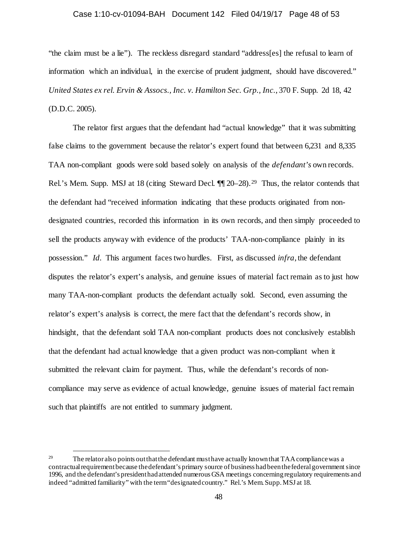#### Case 1:10-cv-01094-BAH Document 142 Filed 04/19/17 Page 48 of 53

"the claim must be a lie"). The reckless disregard standard "address[es] the refusal to learn of information which an individual, in the exercise of prudent judgment, should have discovered." *United States ex rel. Ervin & Assocs., Inc. v. Hamilton Sec. Grp., Inc.*, 370 F. Supp. 2d 18, 42 (D.D.C. 2005).

The relator first argues that the defendant had "actual knowledge" that it was submitting false claims to the government because the relator's expert found that between 6,231 and 8,335 TAA non-compliant goods were sold based solely on analysis of the *defendant's* own records. Rel.'s Mem. Supp. MSJ at 18 (citing Steward Decl.  $\P\P$  20–28).<sup>29</sup> Thus, the relator contends that the defendant had "received information indicating that these products originated from nondesignated countries, recorded this information in its own records, and then simply proceeded to sell the products anyway with evidence of the products' TAA-non-compliance plainly in its possession." *Id.* This argument faces two hurdles. First, as discussed *infra*, the defendant disputes the relator's expert's analysis, and genuine issues of material fact remain as to just how many TAA-non-compliant products the defendant actually sold. Second, even assuming the relator's expert's analysis is correct, the mere fact that the defendant's records show, in hindsight, that the defendant sold TAA non-compliant products does not conclusively establish that the defendant had actual knowledge that a given product was non-compliant when it submitted the relevant claim for payment. Thus, while the defendant's records of noncompliance may serve as evidence of actual knowledge, genuine issues of material fact remain such that plaintiffs are not entitled to summary judgment.

<sup>&</sup>lt;sup>29</sup> The relator also points out that the defendant must have actually known that TAA compliance was a contractual requirement because the defendant's primary source of business had been the federal government since 1996, and the defendant's president had attended numerous GSA meetings concerning regulatory requirements and indeed "admitted familiarity" with the term "designated country." Rel.'s Mem. Supp. MSJ at 18.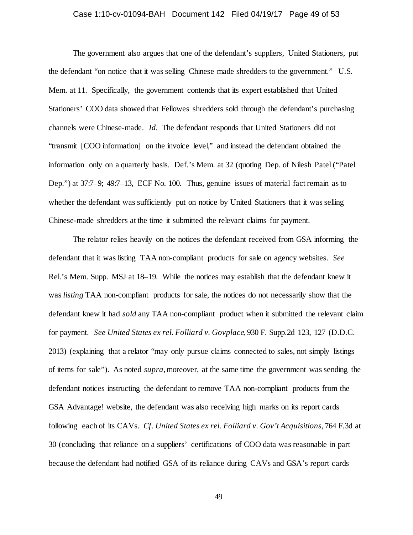# Case 1:10-cv-01094-BAH Document 142 Filed 04/19/17 Page 49 of 53

The government also argues that one of the defendant's suppliers, United Stationers, put the defendant "on notice that it was selling Chinese made shredders to the government." U.S. Mem. at 11. Specifically, the government contends that its expert established that United Stationers' COO data showed that Fellowes shredders sold through the defendant's purchasing channels were Chinese-made. *Id.* The defendant responds that United Stationers did not "transmit [COO information] on the invoice level," and instead the defendant obtained the information only on a quarterly basis. Def.'s Mem. at 32 (quoting Dep. of Nilesh Patel ("Patel Dep.") at 37:7–9; 49:7–13, ECF No. 100. Thus, genuine issues of material fact remain as to whether the defendant was sufficiently put on notice by United Stationers that it was selling Chinese-made shredders at the time it submitted the relevant claims for payment.

The relator relies heavily on the notices the defendant received from GSA informing the defendant that it was listing TAA non-compliant products for sale on agency websites. *See*  Rel.'s Mem. Supp. MSJ at 18–19. While the notices may establish that the defendant knew it was *listing* TAA non-compliant products for sale, the notices do not necessarily show that the defendant knew it had *sold* any TAA non-compliant product when it submitted the relevant claim for payment. *See United States ex rel. Folliard v. Govplace*, 930 F. Supp.2d 123, 127 (D.D.C. 2013) (explaining that a relator "may only pursue claims connected to sales, not simply listings of items for sale"). As noted *supra*,moreover, at the same time the government was sending the defendant notices instructing the defendant to remove TAA non-compliant products from the GSA Advantage! website, the defendant was also receiving high marks on its report cards following each of its CAVs. *Cf. United States ex rel. Folliard v. Gov't Acquisitions*, 764 F.3d at 30 (concluding that reliance on a suppliers' certifications of COO data was reasonable in part because the defendant had notified GSA of its reliance during CAVs and GSA's report cards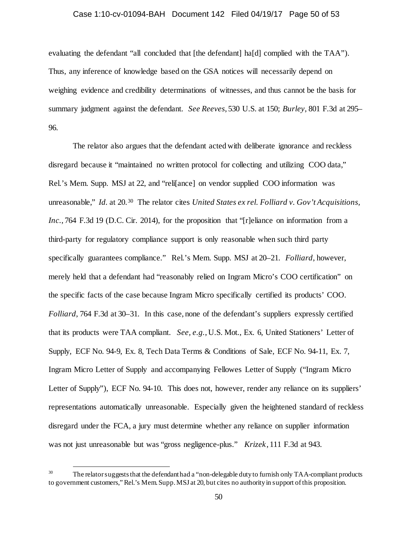# Case 1:10-cv-01094-BAH Document 142 Filed 04/19/17 Page 50 of 53

evaluating the defendant "all concluded that [the defendant] ha[d] complied with the TAA"). Thus, any inference of knowledge based on the GSA notices will necessarily depend on weighing evidence and credibility determinations of witnesses, and thus cannot be the basis for summary judgment against the defendant. *See Reeves*, 530 U.S. at 150; *Burley*, 801 F.3d at 295– 96.

The relator also argues that the defendant acted with deliberate ignorance and reckless disregard because it "maintained no written protocol for collecting and utilizing COO data," Rel.'s Mem. Supp. MSJ at 22, and "relifance] on vendor supplied COO information was unreasonable," *Id.* at 20.30 The relator cites *United States ex rel. Folliard v. Gov't Acquisitions, Inc.*, 764 F.3d 19 (D.C. Cir. 2014), for the proposition that "[r]eliance on information from a third-party for regulatory compliance support is only reasonable when such third party specifically guarantees compliance." Rel.'s Mem. Supp. MSJ at 20–21. *Folliard*, however, merely held that a defendant had "reasonably relied on Ingram Micro's COO certification" on the specific facts of the case because Ingram Micro specifically certified its products' COO. *Folliard*, 764 F.3d at 30–31. In this case, none of the defendant's suppliers expressly certified that its products were TAA compliant. *See, e.g.*, U.S. Mot., Ex. 6, United Stationers' Letter of Supply, ECF No. 94-9, Ex. 8, Tech Data Terms & Conditions of Sale, ECF No. 94-11, Ex. 7, Ingram Micro Letter of Supply and accompanying Fellowes Letter of Supply ("Ingram Micro Letter of Supply"), ECF No. 94-10. This does not, however, render any reliance on its suppliers' representations automatically unreasonable. Especially given the heightened standard of reckless disregard under the FCA, a jury must determine whether any reliance on supplier information was not just unreasonable but was "gross negligence-plus." *Krizek*, 111 F.3d at 943.

<sup>&</sup>lt;sup>30</sup> The relator suggests that the defendant had a "non-delegable duty to furnish only TAA-compliant products to government customers," Rel.'s Mem. Supp. MSJ at 20, but cites no authority in support of this proposition.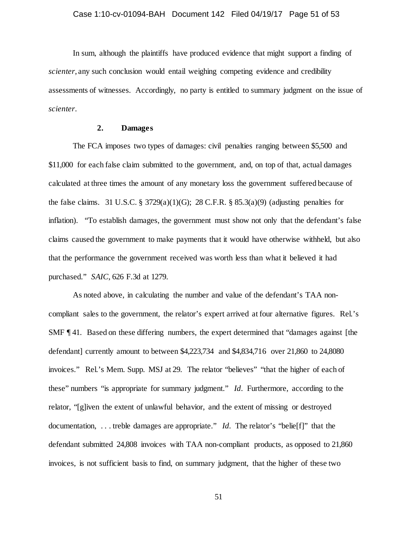In sum, although the plaintiffs have produced evidence that might support a finding of *scienter*, any such conclusion would entail weighing competing evidence and credibility assessments of witnesses. Accordingly, no party is entitled to summary judgment on the issue of *scienter*.

# **2. Damages**

The FCA imposes two types of damages: civil penalties ranging between \$5,500 and \$11,000 for each false claim submitted to the government, and, on top of that, actual damages calculated at three times the amount of any monetary loss the government suffered because of the false claims. 31 U.S.C. § 3729(a)(1)(G); 28 C.F.R. § 85.3(a)(9) (adjusting penalties for inflation). "To establish damages, the government must show not only that the defendant's false claims caused the government to make payments that it would have otherwise withheld, but also that the performance the government received was worth less than what it believed it had purchased." *SAIC*, 626 F.3d at 1279.

As noted above, in calculating the number and value of the defendant's TAA noncompliant sales to the government, the relator's expert arrived at four alternative figures. Rel.'s SMF ¶ 41. Based on these differing numbers, the expert determined that "damages against [the defendant] currently amount to between \$4,223,734 and \$4,834,716 over 21,860 to 24,8080 invoices." Rel.'s Mem. Supp. MSJ at 29. The relator "believes" "that the higher of each of these" numbers "is appropriate for summary judgment." *Id.* Furthermore, according to the relator, "[g]iven the extent of unlawful behavior, and the extent of missing or destroyed documentation, . . . treble damages are appropriate." *Id.* The relator's "belie[f]" that the defendant submitted 24,808 invoices with TAA non-compliant products, as opposed to 21,860 invoices, is not sufficient basis to find, on summary judgment, that the higher of these two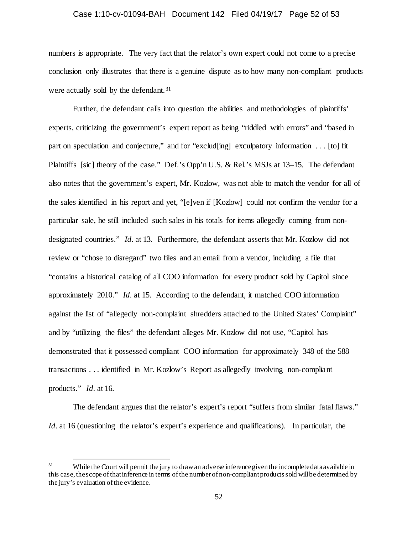# Case 1:10-cv-01094-BAH Document 142 Filed 04/19/17 Page 52 of 53

numbers is appropriate. The very fact that the relator's own expert could not come to a precise conclusion only illustrates that there is a genuine dispute as to how many non-compliant products were actually sold by the defendant.<sup>31</sup>

Further, the defendant calls into question the abilities and methodologies of plaintiffs' experts, criticizing the government's expert report as being "riddled with errors" and "based in part on speculation and conjecture," and for "exclud[ing] exculpatory information . . . [to] fit Plaintiffs [sic] theory of the case." Def.'s Opp'n U.S. & Rel.'s MSJs at 13–15. The defendant also notes that the government's expert, Mr. Kozlow, was not able to match the vendor for all of the sales identified in his report and yet, "[e]ven if [Kozlow] could not confirm the vendor for a particular sale, he still included such sales in his totals for items allegedly coming from nondesignated countries." *Id.* at 13. Furthermore, the defendant asserts that Mr. Kozlow did not review or "chose to disregard" two files and an email from a vendor, including a file that "contains a historical catalog of all COO information for every product sold by Capitol since approximately 2010." *Id.* at 15. According to the defendant, it matched COO information against the list of "allegedly non-complaint shredders attached to the United States' Complaint" and by "utilizing the files" the defendant alleges Mr. Kozlow did not use, "Capitol has demonstrated that it possessed compliant COO information for approximately 348 of the 588 transactions . . . identified in Mr. Kozlow's Report as allegedly involving non-compliant products." *Id.* at 16.

The defendant argues that the relator's expert's report "suffers from similar fatal flaws." *Id.* at 16 (questioning the relator's expert's experience and qualifications). In particular, the

<sup>&</sup>lt;sup>31</sup> While the Court will permit the jury to draw an adverse inference given the incomplete data available in this case, thescope of that inference in terms of the number of non-compliant products sold will be determined by the jury's evaluation of the evidence.